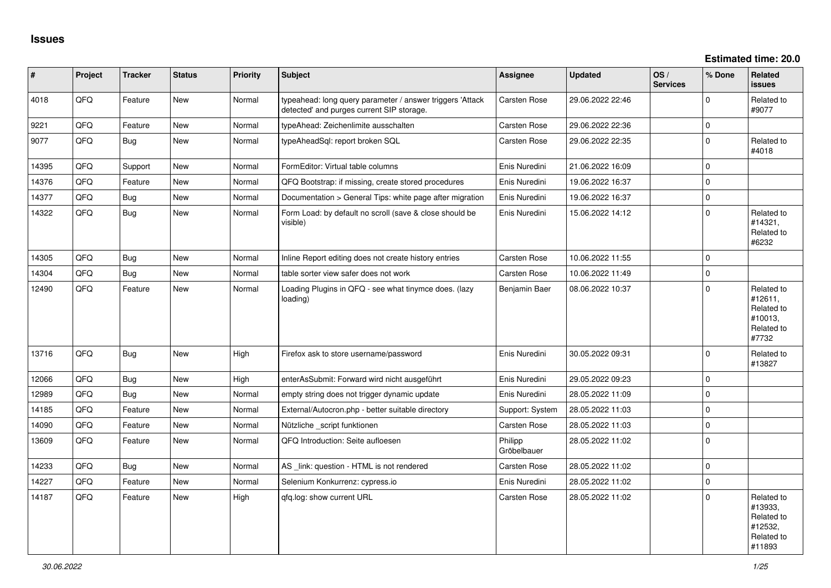| #     | Project | <b>Tracker</b> | <b>Status</b> | Priority | <b>Subject</b>                                                                                         | Assignee               | <b>Updated</b>   | OS/<br><b>Services</b> | % Done      | Related<br><b>issues</b>                                               |
|-------|---------|----------------|---------------|----------|--------------------------------------------------------------------------------------------------------|------------------------|------------------|------------------------|-------------|------------------------------------------------------------------------|
| 4018  | QFQ     | Feature        | <b>New</b>    | Normal   | typeahead: long query parameter / answer triggers 'Attack<br>detected' and purges current SIP storage. | Carsten Rose           | 29.06.2022 22:46 |                        | $\Omega$    | Related to<br>#9077                                                    |
| 9221  | QFQ     | Feature        | <b>New</b>    | Normal   | typeAhead: Zeichenlimite ausschalten                                                                   | Carsten Rose           | 29.06.2022 22:36 |                        | $\mathbf 0$ |                                                                        |
| 9077  | QFQ     | Bug            | New           | Normal   | typeAheadSql: report broken SQL                                                                        | Carsten Rose           | 29.06.2022 22:35 |                        | $\pmb{0}$   | Related to<br>#4018                                                    |
| 14395 | QFQ     | Support        | New           | Normal   | FormEditor: Virtual table columns                                                                      | Enis Nuredini          | 21.06.2022 16:09 |                        | $\mathbf 0$ |                                                                        |
| 14376 | QFQ     | Feature        | <b>New</b>    | Normal   | QFQ Bootstrap: if missing, create stored procedures                                                    | Enis Nuredini          | 19.06.2022 16:37 |                        | $\mathbf 0$ |                                                                        |
| 14377 | QFQ     | Bug            | New           | Normal   | Documentation > General Tips: white page after migration                                               | Enis Nuredini          | 19.06.2022 16:37 |                        | $\pmb{0}$   |                                                                        |
| 14322 | QFQ     | <b>Bug</b>     | New           | Normal   | Form Load: by default no scroll (save & close should be<br>visible)                                    | Enis Nuredini          | 15.06.2022 14:12 |                        | $\mathbf 0$ | Related to<br>#14321,<br>Related to<br>#6232                           |
| 14305 | QFQ     | Bug            | <b>New</b>    | Normal   | Inline Report editing does not create history entries                                                  | Carsten Rose           | 10.06.2022 11:55 |                        | $\mathbf 0$ |                                                                        |
| 14304 | QFQ     | <b>Bug</b>     | <b>New</b>    | Normal   | table sorter view safer does not work                                                                  | Carsten Rose           | 10.06.2022 11:49 |                        | $\mathbf 0$ |                                                                        |
| 12490 | QFQ     | Feature        | New           | Normal   | Loading Plugins in QFQ - see what tinymce does. (lazy<br>loading)                                      | Benjamin Baer          | 08.06.2022 10:37 |                        | $\mathbf 0$ | Related to<br>#12611,<br>Related to<br>#10013.<br>Related to<br>#7732  |
| 13716 | QFQ     | <b>Bug</b>     | New           | High     | Firefox ask to store username/password                                                                 | Enis Nuredini          | 30.05.2022 09:31 |                        | $\mathbf 0$ | Related to<br>#13827                                                   |
| 12066 | QFQ     | Bug            | New           | High     | enterAsSubmit: Forward wird nicht ausgeführt                                                           | Enis Nuredini          | 29.05.2022 09:23 |                        | $\mathbf 0$ |                                                                        |
| 12989 | QFQ     | Bug            | New           | Normal   | empty string does not trigger dynamic update                                                           | Enis Nuredini          | 28.05.2022 11:09 |                        | $\mathbf 0$ |                                                                        |
| 14185 | QFQ     | Feature        | <b>New</b>    | Normal   | External/Autocron.php - better suitable directory                                                      | Support: System        | 28.05.2022 11:03 |                        | $\pmb{0}$   |                                                                        |
| 14090 | QFQ     | Feature        | <b>New</b>    | Normal   | Nützliche _script funktionen                                                                           | Carsten Rose           | 28.05.2022 11:03 |                        | $\mathbf 0$ |                                                                        |
| 13609 | QFQ     | Feature        | New           | Normal   | QFQ Introduction: Seite aufloesen                                                                      | Philipp<br>Gröbelbauer | 28.05.2022 11:02 |                        | $\mathbf 0$ |                                                                        |
| 14233 | QFQ     | Bug            | <b>New</b>    | Normal   | AS _link: question - HTML is not rendered                                                              | Carsten Rose           | 28.05.2022 11:02 |                        | $\mathbf 0$ |                                                                        |
| 14227 | QFQ     | Feature        | New           | Normal   | Selenium Konkurrenz: cypress.io                                                                        | Enis Nuredini          | 28.05.2022 11:02 |                        | $\pmb{0}$   |                                                                        |
| 14187 | QFQ     | Feature        | <b>New</b>    | High     | qfq.log: show current URL                                                                              | Carsten Rose           | 28.05.2022 11:02 |                        | $\mathbf 0$ | Related to<br>#13933,<br>Related to<br>#12532,<br>Related to<br>#11893 |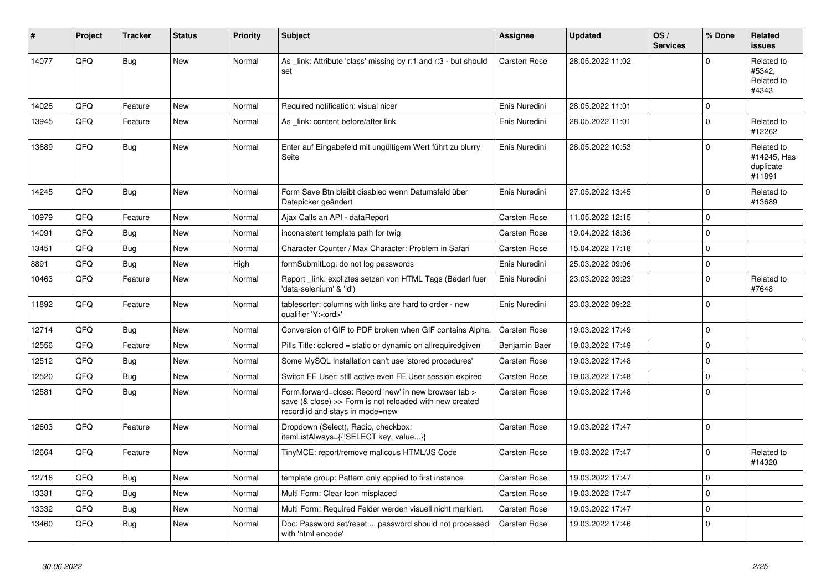| #     | Project | <b>Tracker</b> | <b>Status</b> | <b>Priority</b> | <b>Subject</b>                                                                                                                                      | <b>Assignee</b>     | <b>Updated</b>   | OS/<br><b>Services</b> | % Done         | <b>Related</b><br><b>issues</b>                  |
|-------|---------|----------------|---------------|-----------------|-----------------------------------------------------------------------------------------------------------------------------------------------------|---------------------|------------------|------------------------|----------------|--------------------------------------------------|
| 14077 | QFQ     | <b>Bug</b>     | <b>New</b>    | Normal          | As _link: Attribute 'class' missing by r:1 and r:3 - but should<br>set                                                                              | <b>Carsten Rose</b> | 28.05.2022 11:02 |                        | $\overline{0}$ | Related to<br>#5342,<br>Related to<br>#4343      |
| 14028 | QFQ     | Feature        | <b>New</b>    | Normal          | Required notification: visual nicer                                                                                                                 | Enis Nuredini       | 28.05.2022 11:01 |                        | $\mathbf 0$    |                                                  |
| 13945 | QFQ     | Feature        | <b>New</b>    | Normal          | As _link: content before/after link                                                                                                                 | Enis Nuredini       | 28.05.2022 11:01 |                        | $\Omega$       | Related to<br>#12262                             |
| 13689 | QFQ     | Bug            | <b>New</b>    | Normal          | Enter auf Eingabefeld mit ungültigem Wert führt zu blurry<br>Seite                                                                                  | Enis Nuredini       | 28.05.2022 10:53 |                        | $\Omega$       | Related to<br>#14245. Has<br>duplicate<br>#11891 |
| 14245 | QFQ     | <b>Bug</b>     | <b>New</b>    | Normal          | Form Save Btn bleibt disabled wenn Datumsfeld über<br>Datepicker geändert                                                                           | Enis Nuredini       | 27.05.2022 13:45 |                        | $\Omega$       | Related to<br>#13689                             |
| 10979 | QFQ     | Feature        | <b>New</b>    | Normal          | Ajax Calls an API - dataReport                                                                                                                      | <b>Carsten Rose</b> | 11.05.2022 12:15 |                        | $\Omega$       |                                                  |
| 14091 | QFQ     | Bug            | <b>New</b>    | Normal          | inconsistent template path for twig                                                                                                                 | <b>Carsten Rose</b> | 19.04.2022 18:36 |                        | $\mathbf 0$    |                                                  |
| 13451 | QFQ     | Bug            | New           | Normal          | Character Counter / Max Character: Problem in Safari                                                                                                | Carsten Rose        | 15.04.2022 17:18 |                        | $\mathbf 0$    |                                                  |
| 8891  | QFQ     | Bug            | <b>New</b>    | High            | formSubmitLog: do not log passwords                                                                                                                 | Enis Nuredini       | 25.03.2022 09:06 |                        | $\mathbf 0$    |                                                  |
| 10463 | QFQ     | Feature        | New           | Normal          | Report _link: expliztes setzen von HTML Tags (Bedarf fuer<br>'data-selenium' & 'id')                                                                | Enis Nuredini       | 23.03.2022 09:23 |                        | $\Omega$       | Related to<br>#7648                              |
| 11892 | QFQ     | Feature        | New           | Normal          | tablesorter: columns with links are hard to order - new<br>qualifier 'Y: <ord>'</ord>                                                               | Enis Nuredini       | 23.03.2022 09:22 |                        | $\mathbf{0}$   |                                                  |
| 12714 | QFQ     | Bug            | <b>New</b>    | Normal          | Conversion of GIF to PDF broken when GIF contains Alpha.                                                                                            | <b>Carsten Rose</b> | 19.03.2022 17:49 |                        | $\Omega$       |                                                  |
| 12556 | QFQ     | Feature        | <b>New</b>    | Normal          | Pills Title: colored = static or dynamic on allrequiredgiven                                                                                        | Benjamin Baer       | 19.03.2022 17:49 |                        | $\Omega$       |                                                  |
| 12512 | QFQ     | <b>Bug</b>     | <b>New</b>    | Normal          | Some MySQL Installation can't use 'stored procedures'                                                                                               | <b>Carsten Rose</b> | 19.03.2022 17:48 |                        | $\mathbf 0$    |                                                  |
| 12520 | QFQ     | <b>Bug</b>     | <b>New</b>    | Normal          | Switch FE User: still active even FE User session expired                                                                                           | <b>Carsten Rose</b> | 19.03.2022 17:48 |                        | $\Omega$       |                                                  |
| 12581 | QFQ     | Bug            | New           | Normal          | Form.forward=close: Record 'new' in new browser tab ><br>save (& close) >> Form is not reloaded with new created<br>record id and stays in mode=new | <b>Carsten Rose</b> | 19.03.2022 17:48 |                        | $\Omega$       |                                                  |
| 12603 | QFQ     | Feature        | New           | Normal          | Dropdown (Select), Radio, checkbox:<br>itemListAlways={{!SELECT key, value}}                                                                        | <b>Carsten Rose</b> | 19.03.2022 17:47 |                        | $\mathbf{0}$   |                                                  |
| 12664 | QFQ     | Feature        | New           | Normal          | TinyMCE: report/remove malicous HTML/JS Code                                                                                                        | <b>Carsten Rose</b> | 19.03.2022 17:47 |                        | $\mathbf 0$    | Related to<br>#14320                             |
| 12716 | QFQ     | <b>Bug</b>     | <b>New</b>    | Normal          | template group: Pattern only applied to first instance                                                                                              | <b>Carsten Rose</b> | 19.03.2022 17:47 |                        | $\mathbf{0}$   |                                                  |
| 13331 | QFQ     | <b>Bug</b>     | <b>New</b>    | Normal          | Multi Form: Clear Icon misplaced                                                                                                                    | <b>Carsten Rose</b> | 19.03.2022 17:47 |                        | $\Omega$       |                                                  |
| 13332 | QFQ     | Bug            | New           | Normal          | Multi Form: Required Felder werden visuell nicht markiert.                                                                                          | Carsten Rose        | 19.03.2022 17:47 |                        | $\mathbf 0$    |                                                  |
| 13460 | QFQ     | Bug            | New           | Normal          | Doc: Password set/reset  password should not processed<br>with 'html encode'                                                                        | <b>Carsten Rose</b> | 19.03.2022 17:46 |                        | $\Omega$       |                                                  |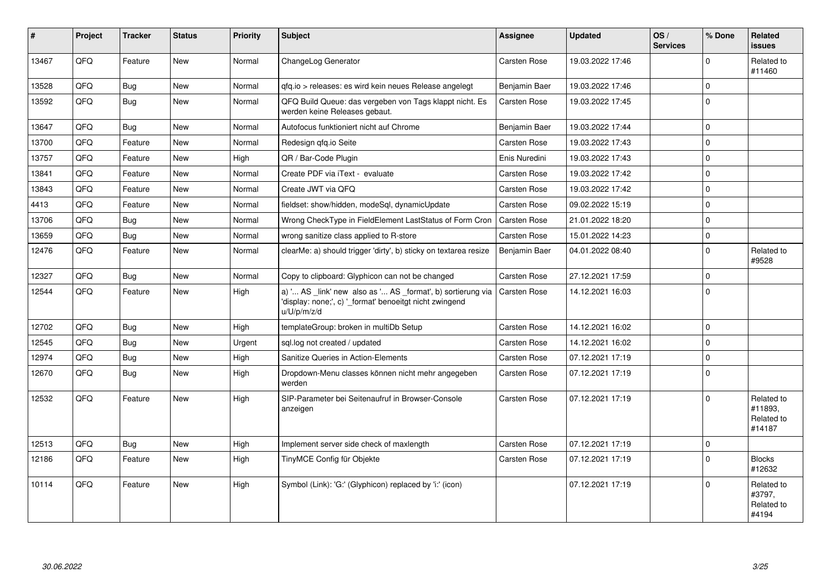| #     | <b>Project</b> | <b>Tracker</b> | <b>Status</b> | <b>Priority</b> | <b>Subject</b>                                                                                                                        | <b>Assignee</b>     | <b>Updated</b>   | OS/<br><b>Services</b> | % Done      | Related<br><b>issues</b>                      |
|-------|----------------|----------------|---------------|-----------------|---------------------------------------------------------------------------------------------------------------------------------------|---------------------|------------------|------------------------|-------------|-----------------------------------------------|
| 13467 | QFQ            | Feature        | <b>New</b>    | Normal          | ChangeLog Generator                                                                                                                   | <b>Carsten Rose</b> | 19.03.2022 17:46 |                        | $\Omega$    | Related to<br>#11460                          |
| 13528 | QFQ            | <b>Bug</b>     | <b>New</b>    | Normal          | qfq.io > releases: es wird kein neues Release angelegt                                                                                | Benjamin Baer       | 19.03.2022 17:46 |                        | $\mathbf 0$ |                                               |
| 13592 | QFQ            | Bug            | <b>New</b>    | Normal          | QFQ Build Queue: das vergeben von Tags klappt nicht. Es<br>werden keine Releases gebaut.                                              | <b>Carsten Rose</b> | 19.03.2022 17:45 |                        | $\mathbf 0$ |                                               |
| 13647 | QFQ            | Bug            | <b>New</b>    | Normal          | Autofocus funktioniert nicht auf Chrome                                                                                               | Benjamin Baer       | 19.03.2022 17:44 |                        | $\mathbf 0$ |                                               |
| 13700 | QFQ            | Feature        | <b>New</b>    | Normal          | Redesign gfg.io Seite                                                                                                                 | <b>Carsten Rose</b> | 19.03.2022 17:43 |                        | $\mathbf 0$ |                                               |
| 13757 | QFQ            | Feature        | <b>New</b>    | High            | QR / Bar-Code Plugin                                                                                                                  | Enis Nuredini       | 19.03.2022 17:43 |                        | $\mathbf 0$ |                                               |
| 13841 | QFQ            | Feature        | <b>New</b>    | Normal          | Create PDF via iText - evaluate                                                                                                       | <b>Carsten Rose</b> | 19.03.2022 17:42 |                        | $\mathbf 0$ |                                               |
| 13843 | QFQ            | Feature        | New           | Normal          | Create JWT via QFQ                                                                                                                    | Carsten Rose        | 19.03.2022 17:42 |                        | 0           |                                               |
| 4413  | QFQ            | Feature        | <b>New</b>    | Normal          | fieldset: show/hidden, modeSql, dynamicUpdate                                                                                         | <b>Carsten Rose</b> | 09.02.2022 15:19 |                        | $\mathbf 0$ |                                               |
| 13706 | QFQ            | Bug            | <b>New</b>    | Normal          | Wrong CheckType in FieldElement LastStatus of Form Cron                                                                               | <b>Carsten Rose</b> | 21.01.2022 18:20 |                        | $\Omega$    |                                               |
| 13659 | QFQ            | Bug            | New           | Normal          | wrong sanitize class applied to R-store                                                                                               | <b>Carsten Rose</b> | 15.01.2022 14:23 |                        | $\mathbf 0$ |                                               |
| 12476 | QFQ            | Feature        | <b>New</b>    | Normal          | clearMe: a) should trigger 'dirty', b) sticky on textarea resize                                                                      | Benjamin Baer       | 04.01.2022 08:40 |                        | $\mathbf 0$ | Related to<br>#9528                           |
| 12327 | QFQ            | Bug            | <b>New</b>    | Normal          | Copy to clipboard: Glyphicon can not be changed                                                                                       | Carsten Rose        | 27.12.2021 17:59 |                        | $\mathbf 0$ |                                               |
| 12544 | QFQ            | Feature        | <b>New</b>    | High            | a) ' AS _link' new also as ' AS _format', b) sortierung via<br>'display: none;', c) '_format' benoeitgt nicht zwingend<br>u/U/p/m/z/d | <b>Carsten Rose</b> | 14.12.2021 16:03 |                        | $\mathbf 0$ |                                               |
| 12702 | QFQ            | Bug            | New           | High            | templateGroup: broken in multiDb Setup                                                                                                | <b>Carsten Rose</b> | 14.12.2021 16:02 |                        | $\mathbf 0$ |                                               |
| 12545 | QFQ            | Bug            | <b>New</b>    | Urgent          | sql.log not created / updated                                                                                                         | <b>Carsten Rose</b> | 14.12.2021 16:02 |                        | $\Omega$    |                                               |
| 12974 | QFQ            | Bug            | New           | High            | Sanitize Queries in Action-Elements                                                                                                   | Carsten Rose        | 07.12.2021 17:19 |                        | $\pmb{0}$   |                                               |
| 12670 | QFQ            | Bug            | <b>New</b>    | High            | Dropdown-Menu classes können nicht mehr angegeben<br>werden                                                                           | <b>Carsten Rose</b> | 07.12.2021 17:19 |                        | $\mathbf 0$ |                                               |
| 12532 | QFQ            | Feature        | <b>New</b>    | High            | SIP-Parameter bei Seitenaufruf in Browser-Console<br>anzeigen                                                                         | <b>Carsten Rose</b> | 07.12.2021 17:19 |                        | $\Omega$    | Related to<br>#11893.<br>Related to<br>#14187 |
| 12513 | QFQ            | <b>Bug</b>     | <b>New</b>    | High            | Implement server side check of maxlength                                                                                              | <b>Carsten Rose</b> | 07.12.2021 17:19 |                        | $\mathbf 0$ |                                               |
| 12186 | QFQ            | Feature        | New           | High            | TinyMCE Config für Objekte                                                                                                            | <b>Carsten Rose</b> | 07.12.2021 17:19 |                        | $\Omega$    | <b>Blocks</b><br>#12632                       |
| 10114 | QFQ            | Feature        | <b>New</b>    | High            | Symbol (Link): 'G:' (Glyphicon) replaced by 'i:' (icon)                                                                               |                     | 07.12.2021 17:19 |                        | $\Omega$    | Related to<br>#3797.<br>Related to<br>#4194   |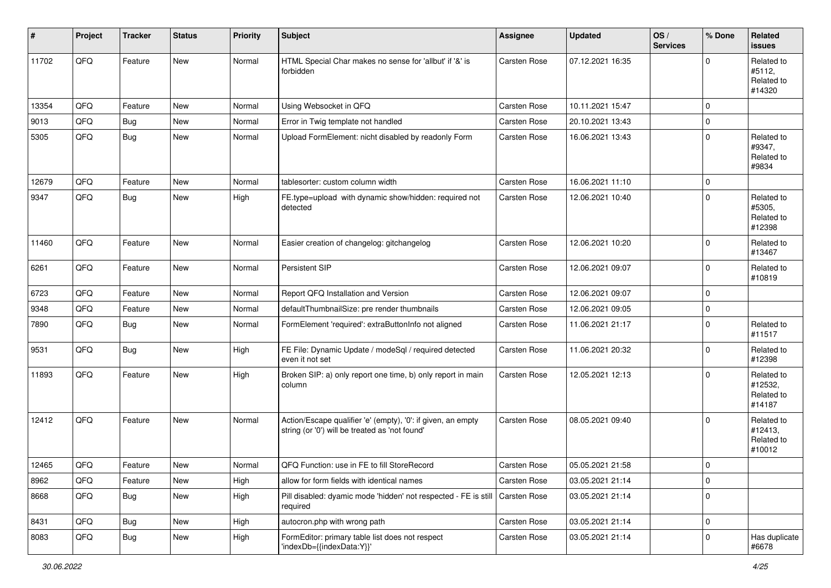| #     | Project | <b>Tracker</b> | <b>Status</b> | <b>Priority</b> | <b>Subject</b>                                                                                                 | <b>Assignee</b>     | <b>Updated</b>   | OS/<br><b>Services</b> | % Done       | Related<br><b>issues</b>                      |
|-------|---------|----------------|---------------|-----------------|----------------------------------------------------------------------------------------------------------------|---------------------|------------------|------------------------|--------------|-----------------------------------------------|
| 11702 | QFQ     | Feature        | <b>New</b>    | Normal          | HTML Special Char makes no sense for 'allbut' if '&' is<br>forbidden                                           | Carsten Rose        | 07.12.2021 16:35 |                        | $\Omega$     | Related to<br>#5112,<br>Related to<br>#14320  |
| 13354 | QFQ     | Feature        | <b>New</b>    | Normal          | Using Websocket in QFQ                                                                                         | Carsten Rose        | 10.11.2021 15:47 |                        | $\Omega$     |                                               |
| 9013  | QFQ     | Bug            | New           | Normal          | Error in Twig template not handled                                                                             | Carsten Rose        | 20.10.2021 13:43 |                        | $\mathbf 0$  |                                               |
| 5305  | QFQ     | Bug            | New           | Normal          | Upload FormElement: nicht disabled by readonly Form                                                            | <b>Carsten Rose</b> | 16.06.2021 13:43 |                        | $\Omega$     | Related to<br>#9347,<br>Related to<br>#9834   |
| 12679 | QFQ     | Feature        | <b>New</b>    | Normal          | tablesorter: custom column width                                                                               | Carsten Rose        | 16.06.2021 11:10 |                        | $\mathbf 0$  |                                               |
| 9347  | QFQ     | Bug            | <b>New</b>    | High            | FE.type=upload with dynamic show/hidden: required not<br>detected                                              | <b>Carsten Rose</b> | 12.06.2021 10:40 |                        | $\Omega$     | Related to<br>#5305,<br>Related to<br>#12398  |
| 11460 | QFQ     | Feature        | <b>New</b>    | Normal          | Easier creation of changelog: gitchangelog                                                                     | <b>Carsten Rose</b> | 12.06.2021 10:20 |                        | $\Omega$     | Related to<br>#13467                          |
| 6261  | QFQ     | Feature        | New           | Normal          | Persistent SIP                                                                                                 | <b>Carsten Rose</b> | 12.06.2021 09:07 |                        | $\mathbf{0}$ | Related to<br>#10819                          |
| 6723  | QFQ     | Feature        | New           | Normal          | Report QFQ Installation and Version                                                                            | Carsten Rose        | 12.06.2021 09:07 |                        | $\mathbf 0$  |                                               |
| 9348  | QFQ     | Feature        | <b>New</b>    | Normal          | defaultThumbnailSize: pre render thumbnails                                                                    | <b>Carsten Rose</b> | 12.06.2021 09:05 |                        | $\mathbf 0$  |                                               |
| 7890  | QFQ     | Bug            | New           | Normal          | FormElement 'required': extraButtonInfo not aligned                                                            | Carsten Rose        | 11.06.2021 21:17 |                        | $\mathbf 0$  | Related to<br>#11517                          |
| 9531  | QFQ     | Bug            | New           | High            | FE File: Dynamic Update / modeSql / required detected<br>even it not set                                       | Carsten Rose        | 11.06.2021 20:32 |                        | $\Omega$     | Related to<br>#12398                          |
| 11893 | QFQ     | Feature        | <b>New</b>    | High            | Broken SIP: a) only report one time, b) only report in main<br>column                                          | Carsten Rose        | 12.05.2021 12:13 |                        | $\Omega$     | Related to<br>#12532,<br>Related to<br>#14187 |
| 12412 | QFQ     | Feature        | New           | Normal          | Action/Escape qualifier 'e' (empty), '0': if given, an empty<br>string (or '0') will be treated as 'not found' | Carsten Rose        | 08.05.2021 09:40 |                        | $\Omega$     | Related to<br>#12413,<br>Related to<br>#10012 |
| 12465 | QFQ     | Feature        | New           | Normal          | QFQ Function: use in FE to fill StoreRecord                                                                    | Carsten Rose        | 05.05.2021 21:58 |                        | $\mathbf 0$  |                                               |
| 8962  | QFQ     | Feature        | New           | High            | allow for form fields with identical names                                                                     | Carsten Rose        | 03.05.2021 21:14 |                        | $\mathbf 0$  |                                               |
| 8668  | QFQ     | <b>Bug</b>     | New           | High            | Pill disabled: dyamic mode 'hidden' not respected - FE is still<br>required                                    | Carsten Rose        | 03.05.2021 21:14 |                        | $\mathbf 0$  |                                               |
| 8431  | QFQ     | Bug            | New           | High            | autocron.php with wrong path                                                                                   | Carsten Rose        | 03.05.2021 21:14 |                        | $\mathbf 0$  |                                               |
| 8083  | QFQ     | <b>Bug</b>     | New           | High            | FormEditor: primary table list does not respect<br>'indexDb={{indexData:Y}}'                                   | Carsten Rose        | 03.05.2021 21:14 |                        | $\Omega$     | Has duplicate<br>#6678                        |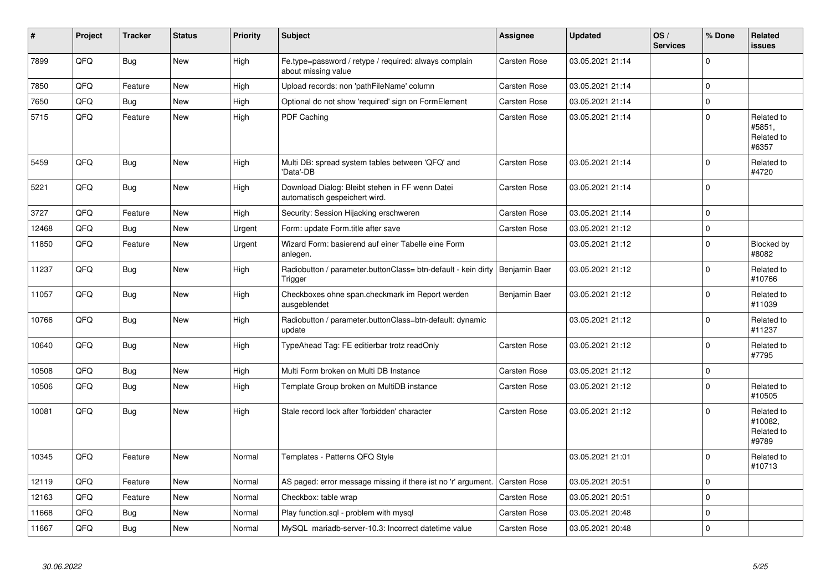| #     | Project | <b>Tracker</b> | <b>Status</b> | <b>Priority</b> | <b>Subject</b>                                                                   | <b>Assignee</b>     | <b>Updated</b>   | OS/<br><b>Services</b> | % Done      | Related<br><b>issues</b>                     |
|-------|---------|----------------|---------------|-----------------|----------------------------------------------------------------------------------|---------------------|------------------|------------------------|-------------|----------------------------------------------|
| 7899  | QFQ     | <b>Bug</b>     | <b>New</b>    | High            | Fe.type=password / retype / required: always complain<br>about missing value     | Carsten Rose        | 03.05.2021 21:14 |                        | $\Omega$    |                                              |
| 7850  | QFQ     | Feature        | <b>New</b>    | High            | Upload records: non 'pathFileName' column                                        | Carsten Rose        | 03.05.2021 21:14 |                        | $\Omega$    |                                              |
| 7650  | QFQ     | Bug            | <b>New</b>    | High            | Optional do not show 'required' sign on FormElement                              | Carsten Rose        | 03.05.2021 21:14 |                        | $\mathbf 0$ |                                              |
| 5715  | QFQ     | Feature        | <b>New</b>    | High            | PDF Caching                                                                      | Carsten Rose        | 03.05.2021 21:14 |                        | $\Omega$    | Related to<br>#5851.<br>Related to<br>#6357  |
| 5459  | QFQ     | <b>Bug</b>     | New           | High            | Multi DB: spread system tables between 'QFQ' and<br>'Data'-DB                    | <b>Carsten Rose</b> | 03.05.2021 21:14 |                        | $\Omega$    | Related to<br>#4720                          |
| 5221  | QFQ     | Bug            | <b>New</b>    | High            | Download Dialog: Bleibt stehen in FF wenn Datei<br>automatisch gespeichert wird. | <b>Carsten Rose</b> | 03.05.2021 21:14 |                        | $\Omega$    |                                              |
| 3727  | QFQ     | Feature        | <b>New</b>    | High            | Security: Session Hijacking erschweren                                           | Carsten Rose        | 03.05.2021 21:14 |                        | $\Omega$    |                                              |
| 12468 | QFQ     | Bug            | <b>New</b>    | Urgent          | Form: update Form.title after save                                               | Carsten Rose        | 03.05.2021 21:12 |                        | 0           |                                              |
| 11850 | QFQ     | Feature        | New           | Urgent          | Wizard Form: basierend auf einer Tabelle eine Form<br>anlegen.                   |                     | 03.05.2021 21:12 |                        | $\mathbf 0$ | <b>Blocked by</b><br>#8082                   |
| 11237 | QFQ     | Bug            | New           | High            | Radiobutton / parameter.buttonClass= btn-default - kein dirty<br>Trigger         | Benjamin Baer       | 03.05.2021 21:12 |                        | $\Omega$    | Related to<br>#10766                         |
| 11057 | QFQ     | Bug            | <b>New</b>    | High            | Checkboxes ohne span.checkmark im Report werden<br>ausgeblendet                  | Benjamin Baer       | 03.05.2021 21:12 |                        | $\Omega$    | Related to<br>#11039                         |
| 10766 | QFQ     | Bug            | New           | High            | Radiobutton / parameter.buttonClass=btn-default: dynamic<br>update               |                     | 03.05.2021 21:12 |                        | $\Omega$    | Related to<br>#11237                         |
| 10640 | QFQ     | <b>Bug</b>     | New           | High            | TypeAhead Tag: FE editierbar trotz readOnly                                      | Carsten Rose        | 03.05.2021 21:12 |                        | $\Omega$    | Related to<br>#7795                          |
| 10508 | QFQ     | Bug            | New           | High            | Multi Form broken on Multi DB Instance                                           | Carsten Rose        | 03.05.2021 21:12 |                        | $\mathbf 0$ |                                              |
| 10506 | QFQ     | Bug            | <b>New</b>    | High            | Template Group broken on MultiDB instance                                        | Carsten Rose        | 03.05.2021 21:12 |                        | $\Omega$    | Related to<br>#10505                         |
| 10081 | QFQ     | Bug            | <b>New</b>    | High            | Stale record lock after 'forbidden' character                                    | <b>Carsten Rose</b> | 03.05.2021 21:12 |                        | $\Omega$    | Related to<br>#10082,<br>Related to<br>#9789 |
| 10345 | QFQ     | Feature        | New           | Normal          | Templates - Patterns QFQ Style                                                   |                     | 03.05.2021 21:01 |                        | $\Omega$    | Related to<br>#10713                         |
| 12119 | QFQ     | Feature        | <b>New</b>    | Normal          | AS paged: error message missing if there ist no 'r' argument.                    | <b>Carsten Rose</b> | 03.05.2021 20:51 |                        | $\mathbf 0$ |                                              |
| 12163 | QFQ     | Feature        | New           | Normal          | Checkbox: table wrap                                                             | Carsten Rose        | 03.05.2021 20:51 |                        | $\mathbf 0$ |                                              |
| 11668 | QFQ     | Bug            | New           | Normal          | Play function.sql - problem with mysql                                           | Carsten Rose        | 03.05.2021 20:48 |                        | $\mathbf 0$ |                                              |
| 11667 | QFQ     | Bug            | New           | Normal          | MySQL mariadb-server-10.3: Incorrect datetime value                              | Carsten Rose        | 03.05.2021 20:48 |                        | $\mathbf 0$ |                                              |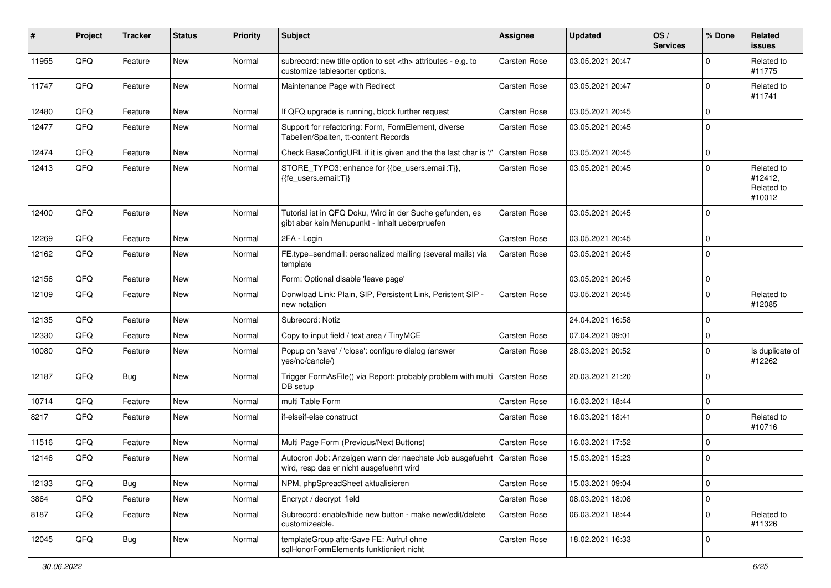| #     | Project | <b>Tracker</b> | <b>Status</b> | <b>Priority</b> | <b>Subject</b>                                                                                             | <b>Assignee</b>                                        | <b>Updated</b>      | OS/<br><b>Services</b> | % Done         | Related<br><b>issues</b>                      |                      |
|-------|---------|----------------|---------------|-----------------|------------------------------------------------------------------------------------------------------------|--------------------------------------------------------|---------------------|------------------------|----------------|-----------------------------------------------|----------------------|
| 11955 | QFQ     | Feature        | New           | Normal          | subrecord: new title option to set <th> attributes - e.g. to<br/>customize tablesorter options.</th>       | attributes - e.g. to<br>customize tablesorter options. | <b>Carsten Rose</b> | 03.05.2021 20:47       |                | $\Omega$                                      | Related to<br>#11775 |
| 11747 | QFQ     | Feature        | New           | Normal          | Maintenance Page with Redirect                                                                             | <b>Carsten Rose</b>                                    | 03.05.2021 20:47    |                        | $\mathbf 0$    | Related to<br>#11741                          |                      |
| 12480 | QFQ     | Feature        | <b>New</b>    | Normal          | If QFQ upgrade is running, block further request                                                           | <b>Carsten Rose</b>                                    | 03.05.2021 20:45    |                        | $\mathbf 0$    |                                               |                      |
| 12477 | QFQ     | Feature        | New           | Normal          | Support for refactoring: Form, FormElement, diverse<br>Tabellen/Spalten, tt-content Records                | <b>Carsten Rose</b>                                    | 03.05.2021 20:45    |                        | $\mathbf 0$    |                                               |                      |
| 12474 | QFQ     | Feature        | New           | Normal          | Check BaseConfigURL if it is given and the the last char is '/'                                            | <b>Carsten Rose</b>                                    | 03.05.2021 20:45    |                        | $\mathbf 0$    |                                               |                      |
| 12413 | QFQ     | Feature        | <b>New</b>    | Normal          | STORE_TYPO3: enhance for {{be_users.email:T}},<br>{{fe users.email:T}}                                     | <b>Carsten Rose</b>                                    | 03.05.2021 20:45    |                        | $\mathbf 0$    | Related to<br>#12412,<br>Related to<br>#10012 |                      |
| 12400 | QFQ     | Feature        | <b>New</b>    | Normal          | Tutorial ist in QFQ Doku, Wird in der Suche gefunden, es<br>gibt aber kein Menupunkt - Inhalt ueberpruefen | <b>Carsten Rose</b>                                    | 03.05.2021 20:45    |                        | $\mathbf 0$    |                                               |                      |
| 12269 | QFQ     | Feature        | <b>New</b>    | Normal          | 2FA - Login                                                                                                | <b>Carsten Rose</b>                                    | 03.05.2021 20:45    |                        | $\overline{0}$ |                                               |                      |
| 12162 | QFQ     | Feature        | New           | Normal          | FE.type=sendmail: personalized mailing (several mails) via<br>template                                     | <b>Carsten Rose</b>                                    | 03.05.2021 20:45    |                        | $\mathbf 0$    |                                               |                      |
| 12156 | QFQ     | Feature        | New           | Normal          | Form: Optional disable 'leave page'                                                                        |                                                        | 03.05.2021 20:45    |                        | 0              |                                               |                      |
| 12109 | QFQ     | Feature        | New           | Normal          | Donwload Link: Plain, SIP, Persistent Link, Peristent SIP -<br>new notation                                | <b>Carsten Rose</b>                                    | 03.05.2021 20:45    |                        | $\mathbf 0$    | Related to<br>#12085                          |                      |
| 12135 | QFQ     | Feature        | <b>New</b>    | Normal          | Subrecord: Notiz                                                                                           |                                                        | 24.04.2021 16:58    |                        | 0              |                                               |                      |
| 12330 | QFQ     | Feature        | <b>New</b>    | Normal          | Copy to input field / text area / TinyMCE                                                                  | <b>Carsten Rose</b>                                    | 07.04.2021 09:01    |                        | $\mathbf 0$    |                                               |                      |
| 10080 | QFQ     | Feature        | <b>New</b>    | Normal          | Popup on 'save' / 'close': configure dialog (answer<br>yes/no/cancle/)                                     | Carsten Rose                                           | 28.03.2021 20:52    |                        | $\mathbf 0$    | Is duplicate of<br>#12262                     |                      |
| 12187 | QFQ     | Bug            | <b>New</b>    | Normal          | Trigger FormAsFile() via Report: probably problem with multi   Carsten Rose<br>DB setup                    |                                                        | 20.03.2021 21:20    |                        | $\mathbf 0$    |                                               |                      |
| 10714 | QFQ     | Feature        | <b>New</b>    | Normal          | multi Table Form                                                                                           | <b>Carsten Rose</b>                                    | 16.03.2021 18:44    |                        | 0              |                                               |                      |
| 8217  | QFQ     | Feature        | <b>New</b>    | Normal          | if-elseif-else construct                                                                                   | Carsten Rose                                           | 16.03.2021 18:41    |                        | $\mathbf 0$    | Related to<br>#10716                          |                      |
| 11516 | QFQ     | Feature        | <b>New</b>    | Normal          | Multi Page Form (Previous/Next Buttons)                                                                    | <b>Carsten Rose</b>                                    | 16.03.2021 17:52    |                        | $\mathbf 0$    |                                               |                      |
| 12146 | QFQ     | Feature        | <b>New</b>    | Normal          | Autocron Job: Anzeigen wann der naechste Job ausgefuehrt<br>wird, resp das er nicht ausgefuehrt wird       | <b>Carsten Rose</b>                                    | 15.03.2021 15:23    |                        | $\mathbf 0$    |                                               |                      |
| 12133 | QFQ     | <b>Bug</b>     | New           | Normal          | NPM, phpSpreadSheet aktualisieren                                                                          | Carsten Rose                                           | 15.03.2021 09:04    |                        | $\mathbf 0$    |                                               |                      |
| 3864  | QFQ     | Feature        | New           | Normal          | Encrypt / decrypt field                                                                                    | Carsten Rose                                           | 08.03.2021 18:08    |                        | $\mathbf 0$    |                                               |                      |
| 8187  | QFQ     | Feature        | New           | Normal          | Subrecord: enable/hide new button - make new/edit/delete<br>customizeable.                                 | <b>Carsten Rose</b>                                    | 06.03.2021 18:44    |                        | $\mathbf 0$    | Related to<br>#11326                          |                      |
| 12045 | QFO     | <b>Bug</b>     | New           | Normal          | templateGroup afterSave FE: Aufruf ohne<br>sqlHonorFormElements funktioniert nicht                         | Carsten Rose                                           | 18.02.2021 16:33    |                        | 0              |                                               |                      |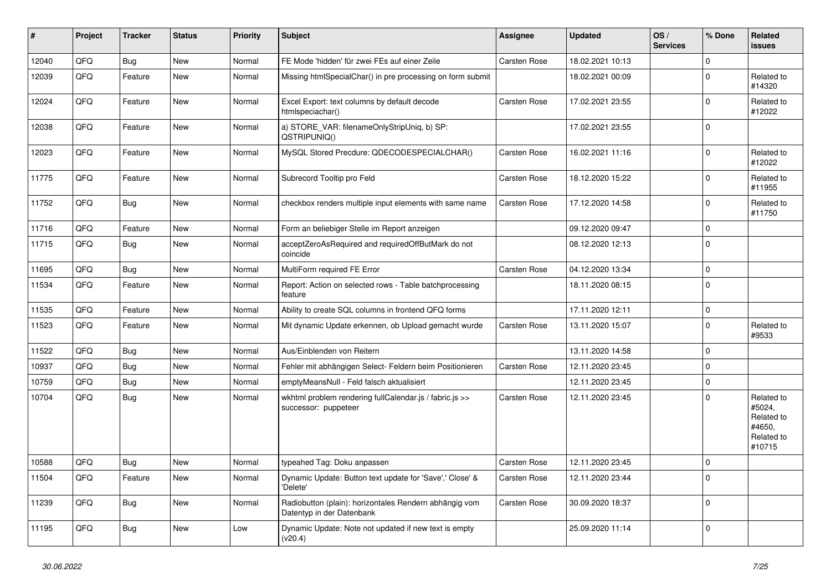| #     | Project | <b>Tracker</b> | <b>Status</b> | <b>Priority</b> | <b>Subject</b>                                                                      | <b>Assignee</b>     | <b>Updated</b>   | OS/<br><b>Services</b> | % Done       | Related<br><b>issues</b>                                             |
|-------|---------|----------------|---------------|-----------------|-------------------------------------------------------------------------------------|---------------------|------------------|------------------------|--------------|----------------------------------------------------------------------|
| 12040 | QFQ     | <b>Bug</b>     | <b>New</b>    | Normal          | FE Mode 'hidden' für zwei FEs auf einer Zeile                                       | Carsten Rose        | 18.02.2021 10:13 |                        | $\mathbf 0$  |                                                                      |
| 12039 | QFQ     | Feature        | New           | Normal          | Missing htmlSpecialChar() in pre processing on form submit                          |                     | 18.02.2021 00:09 |                        | $\Omega$     | Related to<br>#14320                                                 |
| 12024 | QFQ     | Feature        | New           | Normal          | Excel Export: text columns by default decode<br>htmlspeciachar()                    | Carsten Rose        | 17.02.2021 23:55 |                        | $\Omega$     | Related to<br>#12022                                                 |
| 12038 | QFQ     | Feature        | <b>New</b>    | Normal          | a) STORE_VAR: filenameOnlyStripUniq, b) SP:<br>QSTRIPUNIQ()                         |                     | 17.02.2021 23:55 |                        | $\Omega$     |                                                                      |
| 12023 | QFQ     | Feature        | <b>New</b>    | Normal          | MySQL Stored Precdure: QDECODESPECIALCHAR()                                         | Carsten Rose        | 16.02.2021 11:16 |                        | $\Omega$     | Related to<br>#12022                                                 |
| 11775 | QFQ     | Feature        | New           | Normal          | Subrecord Tooltip pro Feld                                                          | Carsten Rose        | 18.12.2020 15:22 |                        | $\Omega$     | Related to<br>#11955                                                 |
| 11752 | QFQ     | Bug            | New           | Normal          | checkbox renders multiple input elements with same name                             | <b>Carsten Rose</b> | 17.12.2020 14:58 |                        | $\Omega$     | Related to<br>#11750                                                 |
| 11716 | QFQ     | Feature        | <b>New</b>    | Normal          | Form an beliebiger Stelle im Report anzeigen                                        |                     | 09.12.2020 09:47 |                        | $\mathbf 0$  |                                                                      |
| 11715 | QFQ     | Bug            | <b>New</b>    | Normal          | acceptZeroAsRequired and requiredOffButMark do not<br>coincide                      |                     | 08.12.2020 12:13 |                        | $\mathbf 0$  |                                                                      |
| 11695 | QFQ     | <b>Bug</b>     | <b>New</b>    | Normal          | MultiForm required FE Error                                                         | Carsten Rose        | 04.12.2020 13:34 |                        | $\mathbf 0$  |                                                                      |
| 11534 | QFQ     | Feature        | New           | Normal          | Report: Action on selected rows - Table batchprocessing<br>feature                  |                     | 18.11.2020 08:15 |                        | $\mathbf 0$  |                                                                      |
| 11535 | QFQ     | Feature        | <b>New</b>    | Normal          | Ability to create SQL columns in frontend QFQ forms                                 |                     | 17.11.2020 12:11 |                        | $\mathbf 0$  |                                                                      |
| 11523 | QFQ     | Feature        | New           | Normal          | Mit dynamic Update erkennen, ob Upload gemacht wurde                                | <b>Carsten Rose</b> | 13.11.2020 15:07 |                        | $\mathbf{0}$ | Related to<br>#9533                                                  |
| 11522 | QFQ     | Bug            | <b>New</b>    | Normal          | Aus/Einblenden von Reitern                                                          |                     | 13.11.2020 14:58 |                        | $\mathbf 0$  |                                                                      |
| 10937 | QFQ     | Bug            | <b>New</b>    | Normal          | Fehler mit abhängigen Select- Feldern beim Positionieren                            | <b>Carsten Rose</b> | 12.11.2020 23:45 |                        | $\mathbf 0$  |                                                                      |
| 10759 | QFQ     | Bug            | <b>New</b>    | Normal          | emptyMeansNull - Feld falsch aktualisiert                                           |                     | 12.11.2020 23:45 |                        | $\mathbf 0$  |                                                                      |
| 10704 | QFQ     | <b>Bug</b>     | <b>New</b>    | Normal          | wkhtml problem rendering fullCalendar.js / fabric.js >><br>successor: puppeteer     | Carsten Rose        | 12.11.2020 23:45 |                        | $\Omega$     | Related to<br>#5024,<br>Related to<br>#4650.<br>Related to<br>#10715 |
| 10588 | QFQ     | <b>Bug</b>     | <b>New</b>    | Normal          | typeahed Tag: Doku anpassen                                                         | Carsten Rose        | 12.11.2020 23:45 |                        | $\mathbf 0$  |                                                                      |
| 11504 | QFQ     | Feature        | New           | Normal          | Dynamic Update: Button text update for 'Save',' Close' &<br>'Delete'                | Carsten Rose        | 12.11.2020 23:44 |                        | $\Omega$     |                                                                      |
| 11239 | QFQ     | Bug            | <b>New</b>    | Normal          | Radiobutton (plain): horizontales Rendern abhängig vom<br>Datentyp in der Datenbank | <b>Carsten Rose</b> | 30.09.2020 18:37 |                        | $\Omega$     |                                                                      |
| 11195 | QFQ     | Bug            | New           | Low             | Dynamic Update: Note not updated if new text is empty<br>(v20.4)                    |                     | 25.09.2020 11:14 |                        | $\Omega$     |                                                                      |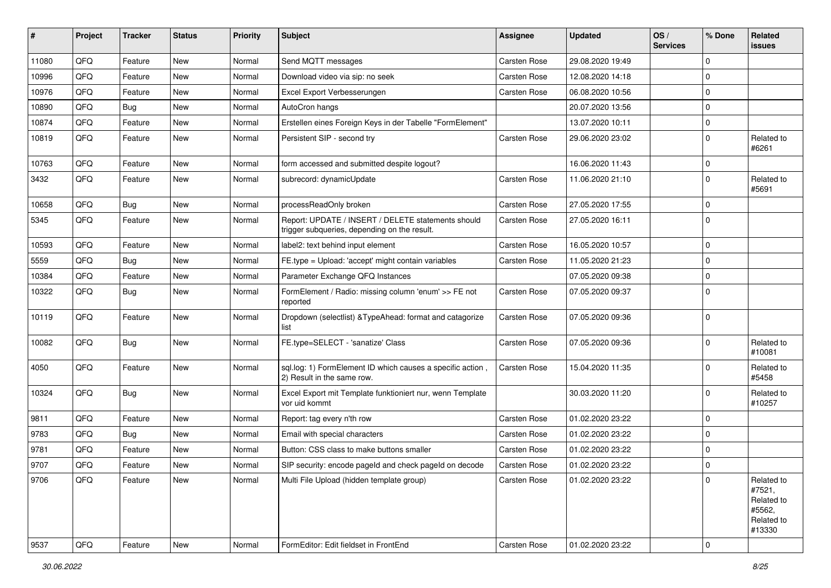| ∦     | Project | <b>Tracker</b> | <b>Status</b> | <b>Priority</b> | Subject                                                                                            | <b>Assignee</b> | <b>Updated</b>   | OS/<br><b>Services</b> | % Done        | Related<br>issues                                                    |
|-------|---------|----------------|---------------|-----------------|----------------------------------------------------------------------------------------------------|-----------------|------------------|------------------------|---------------|----------------------------------------------------------------------|
| 11080 | QFQ     | Feature        | New           | Normal          | Send MQTT messages                                                                                 | Carsten Rose    | 29.08.2020 19:49 |                        | 0             |                                                                      |
| 10996 | QFQ     | Feature        | New           | Normal          | Download video via sip: no seek                                                                    | Carsten Rose    | 12.08.2020 14:18 |                        | $\mathbf{0}$  |                                                                      |
| 10976 | QFQ     | Feature        | New           | Normal          | Excel Export Verbesserungen                                                                        | Carsten Rose    | 06.08.2020 10:56 |                        | $\mathbf 0$   |                                                                      |
| 10890 | QFQ     | Bug            | New           | Normal          | AutoCron hangs                                                                                     |                 | 20.07.2020 13:56 |                        | 0             |                                                                      |
| 10874 | QFQ     | Feature        | New           | Normal          | Erstellen eines Foreign Keys in der Tabelle "FormElement"                                          |                 | 13.07.2020 10:11 |                        | $\mathbf 0$   |                                                                      |
| 10819 | QFQ     | Feature        | <b>New</b>    | Normal          | Persistent SIP - second try                                                                        | Carsten Rose    | 29.06.2020 23:02 |                        | $\mathbf 0$   | Related to<br>#6261                                                  |
| 10763 | QFQ     | Feature        | <b>New</b>    | Normal          | form accessed and submitted despite logout?                                                        |                 | 16.06.2020 11:43 |                        | $\mathbf 0$   |                                                                      |
| 3432  | QFQ     | Feature        | <b>New</b>    | Normal          | subrecord: dynamicUpdate                                                                           | Carsten Rose    | 11.06.2020 21:10 |                        | $\mathbf 0$   | Related to<br>#5691                                                  |
| 10658 | QFQ     | Bug            | <b>New</b>    | Normal          | processReadOnly broken                                                                             | Carsten Rose    | 27.05.2020 17:55 |                        | $\Omega$      |                                                                      |
| 5345  | QFQ     | Feature        | <b>New</b>    | Normal          | Report: UPDATE / INSERT / DELETE statements should<br>trigger subqueries, depending on the result. | Carsten Rose    | 27.05.2020 16:11 |                        | $\Omega$      |                                                                      |
| 10593 | QFQ     | Feature        | New           | Normal          | label2: text behind input element                                                                  | Carsten Rose    | 16.05.2020 10:57 |                        | $\mathbf 0$   |                                                                      |
| 5559  | QFQ     | Bug            | <b>New</b>    | Normal          | FE.type = Upload: 'accept' might contain variables                                                 | Carsten Rose    | 11.05.2020 21:23 |                        | $^{\prime}$ 0 |                                                                      |
| 10384 | QFQ     | Feature        | New           | Normal          | Parameter Exchange QFQ Instances                                                                   |                 | 07.05.2020 09:38 |                        | $\Omega$      |                                                                      |
| 10322 | QFQ     | <b>Bug</b>     | <b>New</b>    | Normal          | FormElement / Radio: missing column 'enum' >> FE not<br>reported                                   | Carsten Rose    | 07.05.2020 09:37 |                        | $\Omega$      |                                                                      |
| 10119 | QFQ     | Feature        | New           | Normal          | Dropdown (selectlist) & TypeAhead: format and catagorize<br>list                                   | Carsten Rose    | 07.05.2020 09:36 |                        | $\Omega$      |                                                                      |
| 10082 | QFQ     | Bug            | <b>New</b>    | Normal          | FE.type=SELECT - 'sanatize' Class                                                                  | Carsten Rose    | 07.05.2020 09:36 |                        | $\mathbf 0$   | Related to<br>#10081                                                 |
| 4050  | QFQ     | Feature        | <b>New</b>    | Normal          | sql.log: 1) FormElement ID which causes a specific action,<br>2) Result in the same row.           | Carsten Rose    | 15.04.2020 11:35 |                        | $\mathbf 0$   | Related to<br>#5458                                                  |
| 10324 | QFQ     | Bug            | <b>New</b>    | Normal          | Excel Export mit Template funktioniert nur, wenn Template<br>vor uid kommt                         |                 | 30.03.2020 11:20 |                        | $\Omega$      | Related to<br>#10257                                                 |
| 9811  | QFQ     | Feature        | <b>New</b>    | Normal          | Report: tag every n'th row                                                                         | Carsten Rose    | 01.02.2020 23:22 |                        | $\Omega$      |                                                                      |
| 9783  | QFQ     | Bug            | <b>New</b>    | Normal          | Email with special characters                                                                      | Carsten Rose    | 01.02.2020 23:22 |                        | 0             |                                                                      |
| 9781  | QFQ     | Feature        | New           | Normal          | Button: CSS class to make buttons smaller                                                          | Carsten Rose    | 01.02.2020 23:22 |                        | 0             |                                                                      |
| 9707  | QFQ     | Feature        | New           | Normal          | SIP security: encode pageld and check pageld on decode                                             | Carsten Rose    | 01.02.2020 23:22 |                        | $\mathbf 0$   |                                                                      |
| 9706  | QFO     | Feature        | New           | Normal          | Multi File Upload (hidden template group)                                                          | Carsten Rose    | 01.02.2020 23:22 |                        | $\mathbf 0$   | Related to<br>#7521,<br>Related to<br>#5562,<br>Related to<br>#13330 |
| 9537  | QFG     | Feature        | New           | Normal          | FormEditor: Edit fieldset in FrontEnd                                                              | Carsten Rose    | 01.02.2020 23:22 |                        | $\mathbf 0$   |                                                                      |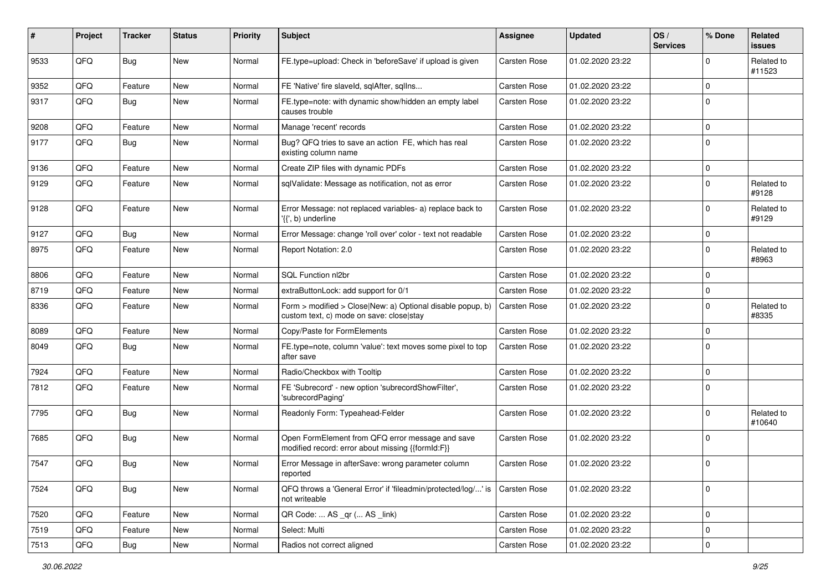| #    | Project | <b>Tracker</b> | <b>Status</b> | <b>Priority</b> | <b>Subject</b>                                                                                         | <b>Assignee</b>     | <b>Updated</b>   | OS/<br><b>Services</b> | % Done      | Related<br><b>issues</b> |
|------|---------|----------------|---------------|-----------------|--------------------------------------------------------------------------------------------------------|---------------------|------------------|------------------------|-------------|--------------------------|
| 9533 | QFQ     | Bug            | New           | Normal          | FE.type=upload: Check in 'beforeSave' if upload is given                                               | <b>Carsten Rose</b> | 01.02.2020 23:22 |                        | $\mathbf 0$ | Related to<br>#11523     |
| 9352 | QFQ     | Feature        | New           | Normal          | FE 'Native' fire slaveld, sqlAfter, sqlIns                                                             | Carsten Rose        | 01.02.2020 23:22 |                        | 0           |                          |
| 9317 | QFQ     | Bug            | New           | Normal          | FE.type=note: with dynamic show/hidden an empty label<br>causes trouble                                | Carsten Rose        | 01.02.2020 23:22 |                        | $\Omega$    |                          |
| 9208 | QFQ     | Feature        | New           | Normal          | Manage 'recent' records                                                                                | Carsten Rose        | 01.02.2020 23:22 |                        | $\mathbf 0$ |                          |
| 9177 | QFQ     | Bug            | <b>New</b>    | Normal          | Bug? QFQ tries to save an action FE, which has real<br>existing column name                            | <b>Carsten Rose</b> | 01.02.2020 23:22 |                        | $\mathbf 0$ |                          |
| 9136 | QFQ     | Feature        | <b>New</b>    | Normal          | Create ZIP files with dynamic PDFs                                                                     | Carsten Rose        | 01.02.2020 23:22 |                        | 0           |                          |
| 9129 | QFQ     | Feature        | New           | Normal          | sqlValidate: Message as notification, not as error                                                     | Carsten Rose        | 01.02.2020 23:22 |                        | $\mathbf 0$ | Related to<br>#9128      |
| 9128 | QFQ     | Feature        | New           | Normal          | Error Message: not replaced variables- a) replace back to<br>'{{', b) underline                        | Carsten Rose        | 01.02.2020 23:22 |                        | $\mathbf 0$ | Related to<br>#9129      |
| 9127 | QFQ     | Bug            | <b>New</b>    | Normal          | Error Message: change 'roll over' color - text not readable                                            | Carsten Rose        | 01.02.2020 23:22 |                        | 0           |                          |
| 8975 | QFQ     | Feature        | New           | Normal          | Report Notation: 2.0                                                                                   | Carsten Rose        | 01.02.2020 23:22 |                        | $\mathbf 0$ | Related to<br>#8963      |
| 8806 | QFQ     | Feature        | New           | Normal          | SQL Function nl2br                                                                                     | <b>Carsten Rose</b> | 01.02.2020 23:22 |                        | 0           |                          |
| 8719 | QFQ     | Feature        | New           | Normal          | extraButtonLock: add support for 0/1                                                                   | Carsten Rose        | 01.02.2020 23:22 |                        | 0           |                          |
| 8336 | QFQ     | Feature        | New           | Normal          | Form > modified > Close New: a) Optional disable popup, b)<br>custom text, c) mode on save: close stay | Carsten Rose        | 01.02.2020 23:22 |                        | $\mathbf 0$ | Related to<br>#8335      |
| 8089 | QFQ     | Feature        | New           | Normal          | Copy/Paste for FormElements                                                                            | <b>Carsten Rose</b> | 01.02.2020 23:22 |                        | 0           |                          |
| 8049 | QFQ     | <b>Bug</b>     | <b>New</b>    | Normal          | FE.type=note, column 'value': text moves some pixel to top<br>after save                               | Carsten Rose        | 01.02.2020 23:22 |                        | $\mathbf 0$ |                          |
| 7924 | QFQ     | Feature        | New           | Normal          | Radio/Checkbox with Tooltip                                                                            | <b>Carsten Rose</b> | 01.02.2020 23:22 |                        | $\mathbf 0$ |                          |
| 7812 | QFQ     | Feature        | New           | Normal          | FE 'Subrecord' - new option 'subrecordShowFilter',<br>'subrecordPaging'                                | Carsten Rose        | 01.02.2020 23:22 |                        | $\mathbf 0$ |                          |
| 7795 | QFQ     | Bug            | New           | Normal          | Readonly Form: Typeahead-Felder                                                                        | Carsten Rose        | 01.02.2020 23:22 |                        | $\mathbf 0$ | Related to<br>#10640     |
| 7685 | QFQ     | <b>Bug</b>     | <b>New</b>    | Normal          | Open FormElement from QFQ error message and save<br>modified record: error about missing {{formId:F}}  | <b>Carsten Rose</b> | 01.02.2020 23:22 |                        | $\mathbf 0$ |                          |
| 7547 | QFQ     | Bug            | New           | Normal          | Error Message in afterSave: wrong parameter column<br>reported                                         | Carsten Rose        | 01.02.2020 23:22 |                        | $\mathbf 0$ |                          |
| 7524 | QFQ     | <b>Bug</b>     | <b>New</b>    | Normal          | QFQ throws a 'General Error' if 'fileadmin/protected/log/' is<br>not writeable                         | <b>Carsten Rose</b> | 01.02.2020 23:22 |                        | 0           |                          |
| 7520 | QFG     | Feature        | New           | Normal          | QR Code:  AS _qr ( AS _link)                                                                           | Carsten Rose        | 01.02.2020 23:22 |                        | 0           |                          |
| 7519 | QFQ     | Feature        | <b>New</b>    | Normal          | Select: Multi                                                                                          | Carsten Rose        | 01.02.2020 23:22 |                        | 0           |                          |
| 7513 | QFQ     | Bug            | New           | Normal          | Radios not correct aligned                                                                             | Carsten Rose        | 01.02.2020 23:22 |                        | 0           |                          |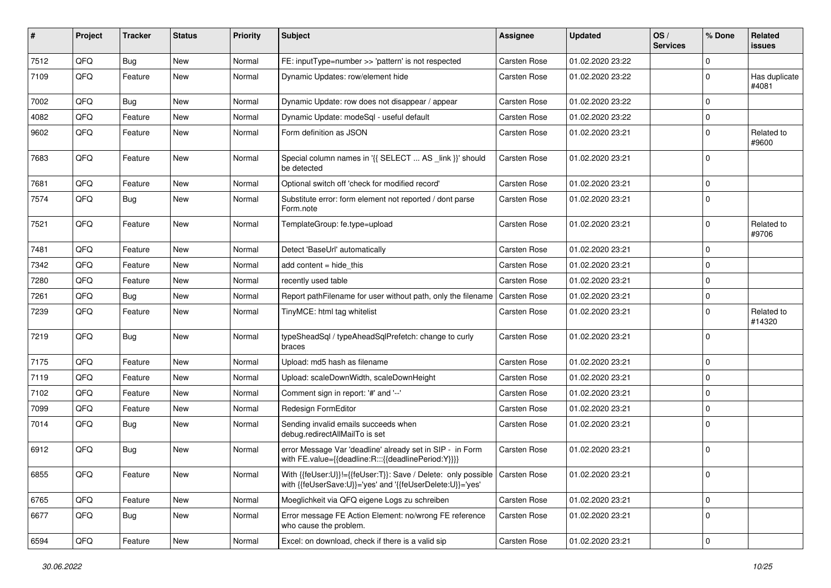| #    | Project | <b>Tracker</b> | <b>Status</b> | <b>Priority</b> | Subject                                                                                                                                   | <b>Assignee</b>     | <b>Updated</b>   | OS/<br><b>Services</b> | % Done      | Related<br>issues      |
|------|---------|----------------|---------------|-----------------|-------------------------------------------------------------------------------------------------------------------------------------------|---------------------|------------------|------------------------|-------------|------------------------|
| 7512 | QFQ     | <b>Bug</b>     | <b>New</b>    | Normal          | FE: inputType=number >> 'pattern' is not respected                                                                                        | Carsten Rose        | 01.02.2020 23:22 |                        | $\mathbf 0$ |                        |
| 7109 | QFQ     | Feature        | New           | Normal          | Dynamic Updates: row/element hide                                                                                                         | Carsten Rose        | 01.02.2020 23:22 |                        | 0           | Has duplicate<br>#4081 |
| 7002 | QFQ     | Bug            | <b>New</b>    | Normal          | Dynamic Update: row does not disappear / appear                                                                                           | Carsten Rose        | 01.02.2020 23:22 |                        | 0           |                        |
| 4082 | QFQ     | Feature        | <b>New</b>    | Normal          | Dynamic Update: modeSql - useful default                                                                                                  | Carsten Rose        | 01.02.2020 23:22 |                        | 0           |                        |
| 9602 | QFQ     | Feature        | New           | Normal          | Form definition as JSON                                                                                                                   | Carsten Rose        | 01.02.2020 23:21 |                        | 0           | Related to<br>#9600    |
| 7683 | QFQ     | Feature        | New           | Normal          | Special column names in '{{ SELECT  AS _link }}' should<br>be detected                                                                    | Carsten Rose        | 01.02.2020 23:21 |                        | $\Omega$    |                        |
| 7681 | QFQ     | Feature        | <b>New</b>    | Normal          | Optional switch off 'check for modified record'                                                                                           | Carsten Rose        | 01.02.2020 23:21 |                        | 0           |                        |
| 7574 | QFQ     | Bug            | New           | Normal          | Substitute error: form element not reported / dont parse<br>Form.note                                                                     | Carsten Rose        | 01.02.2020 23:21 |                        | 0           |                        |
| 7521 | QFQ     | Feature        | <b>New</b>    | Normal          | TemplateGroup: fe.type=upload                                                                                                             | Carsten Rose        | 01.02.2020 23:21 |                        | 0           | Related to<br>#9706    |
| 7481 | QFQ     | Feature        | <b>New</b>    | Normal          | Detect 'BaseUrl' automatically                                                                                                            | Carsten Rose        | 01.02.2020 23:21 |                        | 0           |                        |
| 7342 | QFQ     | Feature        | New           | Normal          | add content $=$ hide this                                                                                                                 | Carsten Rose        | 01.02.2020 23:21 |                        | 0           |                        |
| 7280 | QFQ     | Feature        | New           | Normal          | recently used table                                                                                                                       | Carsten Rose        | 01.02.2020 23:21 |                        | 0           |                        |
| 7261 | QFQ     | <b>Bug</b>     | New           | Normal          | Report pathFilename for user without path, only the filename                                                                              | <b>Carsten Rose</b> | 01.02.2020 23:21 |                        | 0           |                        |
| 7239 | QFQ     | Feature        | New           | Normal          | TinyMCE: html tag whitelist                                                                                                               | Carsten Rose        | 01.02.2020 23:21 |                        | 0           | Related to<br>#14320   |
| 7219 | QFQ     | Bug            | <b>New</b>    | Normal          | typeSheadSql / typeAheadSqlPrefetch: change to curly<br>braces                                                                            | Carsten Rose        | 01.02.2020 23:21 |                        | $\Omega$    |                        |
| 7175 | QFQ     | Feature        | <b>New</b>    | Normal          | Upload: md5 hash as filename                                                                                                              | Carsten Rose        | 01.02.2020 23:21 |                        | 0           |                        |
| 7119 | QFQ     | Feature        | New           | Normal          | Upload: scaleDownWidth, scaleDownHeight                                                                                                   | Carsten Rose        | 01.02.2020 23:21 |                        | $\Omega$    |                        |
| 7102 | QFQ     | Feature        | New           | Normal          | Comment sign in report: '#' and '--'                                                                                                      | Carsten Rose        | 01.02.2020 23:21 |                        | 0           |                        |
| 7099 | QFQ     | Feature        | New           | Normal          | Redesign FormEditor                                                                                                                       | Carsten Rose        | 01.02.2020 23:21 |                        | 0           |                        |
| 7014 | QFQ     | Bug            | New           | Normal          | Sending invalid emails succeeds when<br>debug.redirectAllMailTo is set                                                                    | Carsten Rose        | 01.02.2020 23:21 |                        | 0           |                        |
| 6912 | QFQ     | Bug            | <b>New</b>    | Normal          | error Message Var 'deadline' already set in SIP - in Form<br>with FE.value={{deadline:R:::{{deadlinePeriod:Y}}}}                          | Carsten Rose        | 01.02.2020 23:21 |                        | 0           |                        |
| 6855 | QFQ     | Feature        | New           | Normal          | With {{feUser:U}}!={{feUser:T}}: Save / Delete: only possible   Carsten Rose<br>with {{feUserSave:U}}='yes' and '{{feUserDelete:U}}='yes' |                     | 01.02.2020 23:21 |                        | 0           |                        |
| 6765 | QFQ     | Feature        | New           | Normal          | Moeglichkeit via QFQ eigene Logs zu schreiben                                                                                             | Carsten Rose        | 01.02.2020 23:21 |                        | $\mathbf 0$ |                        |
| 6677 | QFQ     | Bug            | New           | Normal          | Error message FE Action Element: no/wrong FE reference<br>who cause the problem.                                                          | Carsten Rose        | 01.02.2020 23:21 |                        | 0           |                        |
| 6594 | QFQ     | Feature        | New           | Normal          | Excel: on download, check if there is a valid sip                                                                                         | Carsten Rose        | 01.02.2020 23:21 |                        | 0           |                        |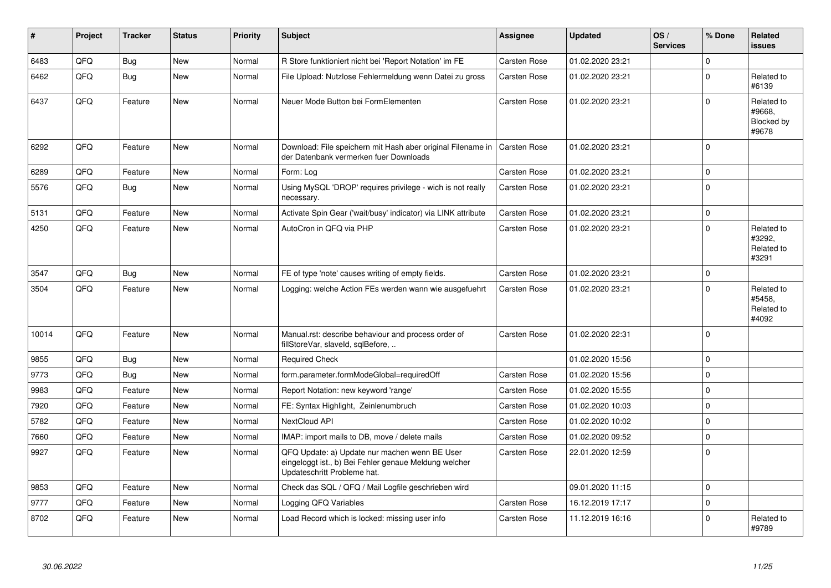| ∦     | Project | <b>Tracker</b> | <b>Status</b> | <b>Priority</b> | <b>Subject</b>                                                                                                                        | Assignee            | <b>Updated</b>   | OS/<br><b>Services</b> | % Done      | <b>Related</b><br><b>issues</b>             |
|-------|---------|----------------|---------------|-----------------|---------------------------------------------------------------------------------------------------------------------------------------|---------------------|------------------|------------------------|-------------|---------------------------------------------|
| 6483  | QFQ     | <b>Bug</b>     | <b>New</b>    | Normal          | R Store funktioniert nicht bei 'Report Notation' im FE                                                                                | <b>Carsten Rose</b> | 01.02.2020 23:21 |                        | $\Omega$    |                                             |
| 6462  | QFQ     | Bug            | <b>New</b>    | Normal          | File Upload: Nutzlose Fehlermeldung wenn Datei zu gross                                                                               | Carsten Rose        | 01.02.2020 23:21 |                        | $\mathbf 0$ | Related to<br>#6139                         |
| 6437  | QFQ     | Feature        | <b>New</b>    | Normal          | Neuer Mode Button bei FormElementen                                                                                                   | Carsten Rose        | 01.02.2020 23:21 |                        | $\Omega$    | Related to<br>#9668,<br>Blocked by<br>#9678 |
| 6292  | QFQ     | Feature        | New           | Normal          | Download: File speichern mit Hash aber original Filename in<br>der Datenbank vermerken fuer Downloads                                 | Carsten Rose        | 01.02.2020 23:21 |                        | $\Omega$    |                                             |
| 6289  | QFQ     | Feature        | New           | Normal          | Form: Log                                                                                                                             | Carsten Rose        | 01.02.2020 23:21 |                        | $\Omega$    |                                             |
| 5576  | QFQ     | Bug            | New           | Normal          | Using MySQL 'DROP' requires privilege - wich is not really<br>necessary.                                                              | Carsten Rose        | 01.02.2020 23:21 |                        | $\mathbf 0$ |                                             |
| 5131  | QFQ     | Feature        | <b>New</b>    | Normal          | Activate Spin Gear ('wait/busy' indicator) via LINK attribute                                                                         | Carsten Rose        | 01.02.2020 23:21 |                        | $\Omega$    |                                             |
| 4250  | QFQ     | Feature        | <b>New</b>    | Normal          | AutoCron in QFQ via PHP                                                                                                               | Carsten Rose        | 01.02.2020 23:21 |                        | $\Omega$    | Related to<br>#3292,<br>Related to<br>#3291 |
| 3547  | QFQ     | Bug            | <b>New</b>    | Normal          | FE of type 'note' causes writing of empty fields.                                                                                     | Carsten Rose        | 01.02.2020 23:21 |                        | $\mathbf 0$ |                                             |
| 3504  | QFQ     | Feature        | <b>New</b>    | Normal          | Logging: welche Action FEs werden wann wie ausgefuehrt                                                                                | Carsten Rose        | 01.02.2020 23:21 |                        | $\Omega$    | Related to<br>#5458,<br>Related to<br>#4092 |
| 10014 | QFQ     | Feature        | <b>New</b>    | Normal          | Manual.rst: describe behaviour and process order of<br>fillStoreVar, slaveId, sqlBefore,                                              | <b>Carsten Rose</b> | 01.02.2020 22:31 |                        | $\Omega$    |                                             |
| 9855  | QFQ     | Bug            | <b>New</b>    | Normal          | <b>Required Check</b>                                                                                                                 |                     | 01.02.2020 15:56 |                        | $\mathbf 0$ |                                             |
| 9773  | QFQ     | Bug            | New           | Normal          | form.parameter.formModeGlobal=requiredOff                                                                                             | Carsten Rose        | 01.02.2020 15:56 |                        | $\Omega$    |                                             |
| 9983  | QFQ     | Feature        | <b>New</b>    | Normal          | Report Notation: new keyword 'range'                                                                                                  | Carsten Rose        | 01.02.2020 15:55 |                        | $\mathbf 0$ |                                             |
| 7920  | QFQ     | Feature        | <b>New</b>    | Normal          | FE: Syntax Highlight, Zeinlenumbruch                                                                                                  | <b>Carsten Rose</b> | 01.02.2020 10:03 |                        | $\Omega$    |                                             |
| 5782  | QFQ     | Feature        | <b>New</b>    | Normal          | <b>NextCloud API</b>                                                                                                                  | <b>Carsten Rose</b> | 01.02.2020 10:02 |                        | $\mathbf 0$ |                                             |
| 7660  | QFQ     | Feature        | <b>New</b>    | Normal          | IMAP: import mails to DB, move / delete mails                                                                                         | Carsten Rose        | 01.02.2020 09:52 |                        | $\Omega$    |                                             |
| 9927  | QFQ     | Feature        | <b>New</b>    | Normal          | QFQ Update: a) Update nur machen wenn BE User<br>eingeloggt ist., b) Bei Fehler genaue Meldung welcher<br>Updateschritt Probleme hat. | <b>Carsten Rose</b> | 22.01.2020 12:59 |                        | $\mathbf 0$ |                                             |
| 9853  | QFQ     | Feature        | <b>New</b>    | Normal          | Check das SQL / QFQ / Mail Logfile geschrieben wird                                                                                   |                     | 09.01.2020 11:15 |                        | $\mathbf 0$ |                                             |
| 9777  | QFQ     | Feature        | <b>New</b>    | Normal          | Logging QFQ Variables                                                                                                                 | <b>Carsten Rose</b> | 16.12.2019 17:17 |                        | $\Omega$    |                                             |
| 8702  | QFQ     | Feature        | <b>New</b>    | Normal          | Load Record which is locked: missing user info                                                                                        | Carsten Rose        | 11.12.2019 16:16 |                        | $\Omega$    | Related to<br>#9789                         |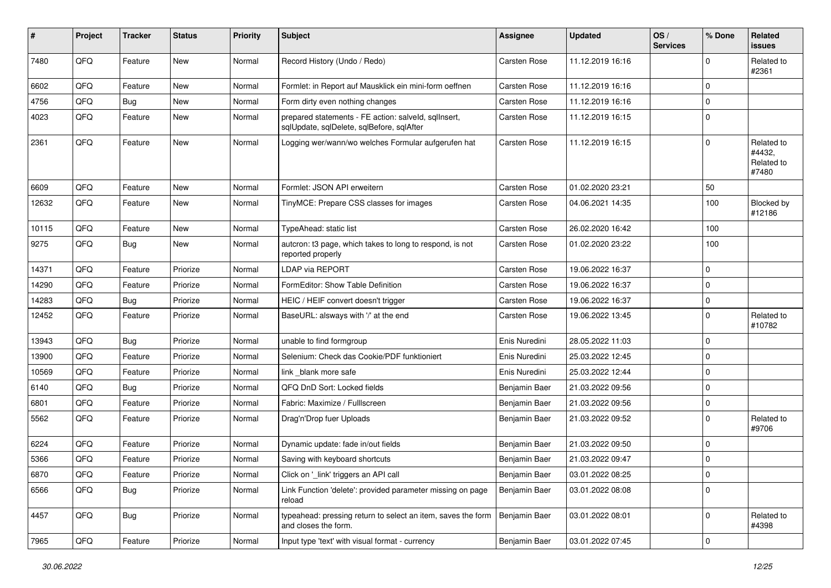| ∦     | Project        | <b>Tracker</b> | <b>Status</b> | <b>Priority</b> | <b>Subject</b>                                                                                    | Assignee            | <b>Updated</b>   | OS/<br><b>Services</b> | % Done      | Related<br><b>issues</b>                    |
|-------|----------------|----------------|---------------|-----------------|---------------------------------------------------------------------------------------------------|---------------------|------------------|------------------------|-------------|---------------------------------------------|
| 7480  | QFQ            | Feature        | <b>New</b>    | Normal          | Record History (Undo / Redo)                                                                      | <b>Carsten Rose</b> | 11.12.2019 16:16 |                        | $\Omega$    | Related to<br>#2361                         |
| 6602  | QFQ            | Feature        | New           | Normal          | Formlet: in Report auf Mausklick ein mini-form oeffnen                                            | Carsten Rose        | 11.12.2019 16:16 |                        | 0           |                                             |
| 4756  | QFQ            | Bug            | <b>New</b>    | Normal          | Form dirty even nothing changes                                                                   | Carsten Rose        | 11.12.2019 16:16 |                        | $\mathbf 0$ |                                             |
| 4023  | QFQ            | Feature        | New           | Normal          | prepared statements - FE action: salveld, sqllnsert,<br>sqlUpdate, sqlDelete, sqlBefore, sqlAfter | Carsten Rose        | 11.12.2019 16:15 |                        | $\mathbf 0$ |                                             |
| 2361  | QFQ            | Feature        | <b>New</b>    | Normal          | Logging wer/wann/wo welches Formular aufgerufen hat                                               | Carsten Rose        | 11.12.2019 16:15 |                        | $\Omega$    | Related to<br>#4432,<br>Related to<br>#7480 |
| 6609  | QFQ            | Feature        | <b>New</b>    | Normal          | Formlet: JSON API erweitern                                                                       | Carsten Rose        | 01.02.2020 23:21 |                        | 50          |                                             |
| 12632 | QFQ            | Feature        | <b>New</b>    | Normal          | TinyMCE: Prepare CSS classes for images                                                           | Carsten Rose        | 04.06.2021 14:35 |                        | 100         | Blocked by<br>#12186                        |
| 10115 | QFQ            | Feature        | <b>New</b>    | Normal          | TypeAhead: static list                                                                            | <b>Carsten Rose</b> | 26.02.2020 16:42 |                        | 100         |                                             |
| 9275  | QFQ            | Bug            | <b>New</b>    | Normal          | autcron: t3 page, which takes to long to respond, is not<br>reported properly                     | Carsten Rose        | 01.02.2020 23:22 |                        | 100         |                                             |
| 14371 | QFQ            | Feature        | Priorize      | Normal          | LDAP via REPORT                                                                                   | Carsten Rose        | 19.06.2022 16:37 |                        | $\mathbf 0$ |                                             |
| 14290 | QFQ            | Feature        | Priorize      | Normal          | FormEditor: Show Table Definition                                                                 | Carsten Rose        | 19.06.2022 16:37 |                        | 0           |                                             |
| 14283 | QFQ            | Bug            | Priorize      | Normal          | HEIC / HEIF convert doesn't trigger                                                               | Carsten Rose        | 19.06.2022 16:37 |                        | $\mathbf 0$ |                                             |
| 12452 | QFQ            | Feature        | Priorize      | Normal          | BaseURL: alsways with '/' at the end                                                              | Carsten Rose        | 19.06.2022 13:45 |                        | $\mathbf 0$ | Related to<br>#10782                        |
| 13943 | QFQ            | Bug            | Priorize      | Normal          | unable to find formgroup                                                                          | Enis Nuredini       | 28.05.2022 11:03 |                        | $\Omega$    |                                             |
| 13900 | QFQ            | Feature        | Priorize      | Normal          | Selenium: Check das Cookie/PDF funktioniert                                                       | Enis Nuredini       | 25.03.2022 12:45 |                        | 0           |                                             |
| 10569 | QFQ            | Feature        | Priorize      | Normal          | link blank more safe                                                                              | Enis Nuredini       | 25.03.2022 12:44 |                        | $\mathbf 0$ |                                             |
| 6140  | QFQ            | Bug            | Priorize      | Normal          | QFQ DnD Sort: Locked fields                                                                       | Benjamin Baer       | 21.03.2022 09:56 |                        | $\mathbf 0$ |                                             |
| 6801  | QFQ            | Feature        | Priorize      | Normal          | Fabric: Maximize / FullIscreen                                                                    | Benjamin Baer       | 21.03.2022 09:56 |                        | $\mathbf 0$ |                                             |
| 5562  | QFQ            | Feature        | Priorize      | Normal          | Drag'n'Drop fuer Uploads                                                                          | Benjamin Baer       | 21.03.2022 09:52 |                        | $\Omega$    | Related to<br>#9706                         |
| 6224  | QFQ            | Feature        | Priorize      | Normal          | Dynamic update: fade in/out fields                                                                | Benjamin Baer       | 21.03.2022 09:50 |                        | $\mathbf 0$ |                                             |
| 5366  | QFQ            | Feature        | Priorize      | Normal          | Saving with keyboard shortcuts                                                                    | Benjamin Baer       | 21.03.2022 09:47 |                        | $\mathbf 0$ |                                             |
| 6870  | QFQ            | Feature        | Priorize      | Normal          | Click on '_link' triggers an API call                                                             | Benjamin Baer       | 03.01.2022 08:25 |                        | 0           |                                             |
| 6566  | QFQ            | Bug            | Priorize      | Normal          | Link Function 'delete': provided parameter missing on page<br>reload                              | Benjamin Baer       | 03.01.2022 08:08 |                        | $\mathbf 0$ |                                             |
| 4457  | QFQ            | Bug            | Priorize      | Normal          | typeahead: pressing return to select an item, saves the form<br>and closes the form.              | Benjamin Baer       | 03.01.2022 08:01 |                        | 0           | Related to<br>#4398                         |
| 7965  | $\mathsf{QFQ}$ | Feature        | Priorize      | Normal          | Input type 'text' with visual format - currency                                                   | Benjamin Baer       | 03.01.2022 07:45 |                        | 0           |                                             |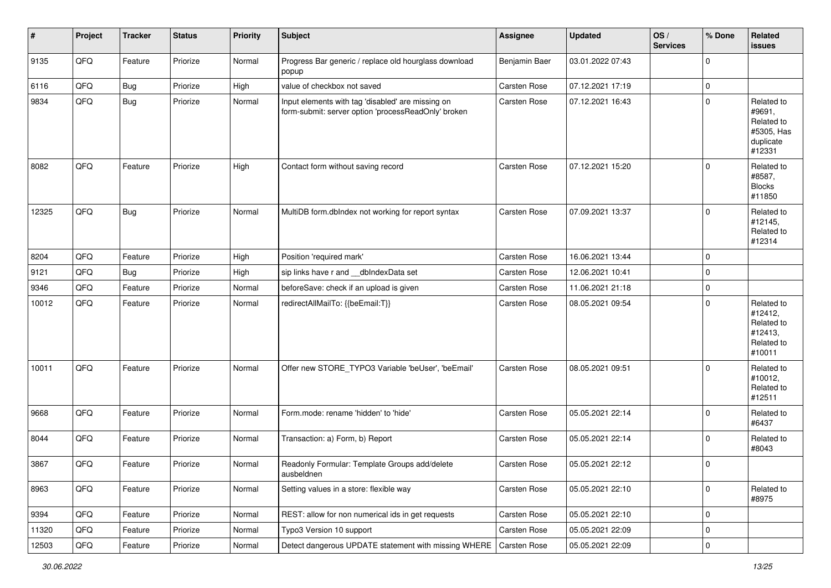| #     | Project | <b>Tracker</b> | <b>Status</b> | <b>Priority</b> | <b>Subject</b>                                                                                           | Assignee            | <b>Updated</b>   | OS/<br><b>Services</b> | % Done      | Related<br>issues                                                       |
|-------|---------|----------------|---------------|-----------------|----------------------------------------------------------------------------------------------------------|---------------------|------------------|------------------------|-------------|-------------------------------------------------------------------------|
| 9135  | QFQ     | Feature        | Priorize      | Normal          | Progress Bar generic / replace old hourglass download<br>popup                                           | Benjamin Baer       | 03.01.2022 07:43 |                        | $\mathbf 0$ |                                                                         |
| 6116  | QFQ     | Bug            | Priorize      | High            | value of checkbox not saved                                                                              | Carsten Rose        | 07.12.2021 17:19 |                        | 0           |                                                                         |
| 9834  | QFQ     | <b>Bug</b>     | Priorize      | Normal          | Input elements with tag 'disabled' are missing on<br>form-submit: server option 'processReadOnly' broken | Carsten Rose        | 07.12.2021 16:43 |                        | $\mathbf 0$ | Related to<br>#9691,<br>Related to<br>#5305, Has<br>duplicate<br>#12331 |
| 8082  | QFQ     | Feature        | Priorize      | High            | Contact form without saving record                                                                       | <b>Carsten Rose</b> | 07.12.2021 15:20 |                        | $\Omega$    | Related to<br>#8587,<br><b>Blocks</b><br>#11850                         |
| 12325 | QFQ     | <b>Bug</b>     | Priorize      | Normal          | MultiDB form.dblndex not working for report syntax                                                       | Carsten Rose        | 07.09.2021 13:37 |                        | $\mathbf 0$ | Related to<br>#12145,<br>Related to<br>#12314                           |
| 8204  | QFQ     | Feature        | Priorize      | High            | Position 'required mark'                                                                                 | Carsten Rose        | 16.06.2021 13:44 |                        | 0           |                                                                         |
| 9121  | QFQ     | Bug            | Priorize      | High            | sip links have r and dblndexData set                                                                     | Carsten Rose        | 12.06.2021 10:41 |                        | $\mathbf 0$ |                                                                         |
| 9346  | QFQ     | Feature        | Priorize      | Normal          | beforeSave: check if an upload is given                                                                  | <b>Carsten Rose</b> | 11.06.2021 21:18 |                        | $\mathbf 0$ |                                                                         |
| 10012 | QFQ     | Feature        | Priorize      | Normal          | redirectAllMailTo: {{beEmail:T}}                                                                         | Carsten Rose        | 08.05.2021 09:54 |                        | $\mathbf 0$ | Related to<br>#12412,<br>Related to<br>#12413,<br>Related to<br>#10011  |
| 10011 | QFQ     | Feature        | Priorize      | Normal          | Offer new STORE_TYPO3 Variable 'beUser', 'beEmail'                                                       | Carsten Rose        | 08.05.2021 09:51 |                        | $\Omega$    | Related to<br>#10012,<br>Related to<br>#12511                           |
| 9668  | QFQ     | Feature        | Priorize      | Normal          | Form.mode: rename 'hidden' to 'hide'                                                                     | Carsten Rose        | 05.05.2021 22:14 |                        | $\mathbf 0$ | Related to<br>#6437                                                     |
| 8044  | QFQ     | Feature        | Priorize      | Normal          | Transaction: a) Form, b) Report                                                                          | <b>Carsten Rose</b> | 05.05.2021 22:14 |                        | $\mathbf 0$ | Related to<br>#8043                                                     |
| 3867  | QFQ     | Feature        | Priorize      | Normal          | Readonly Formular: Template Groups add/delete<br>ausbeldnen                                              | Carsten Rose        | 05.05.2021 22:12 |                        | $\Omega$    |                                                                         |
| 8963  | QFQ     | Feature        | Priorize      | Normal          | Setting values in a store: flexible way                                                                  | Carsten Rose        | 05.05.2021 22:10 |                        | $\mathbf 0$ | Related to<br>#8975                                                     |
| 9394  | QFQ     | Feature        | Priorize      | Normal          | REST: allow for non numerical ids in get requests                                                        | Carsten Rose        | 05.05.2021 22:10 |                        | 0           |                                                                         |
| 11320 | QFQ     | Feature        | Priorize      | Normal          | Typo3 Version 10 support                                                                                 | Carsten Rose        | 05.05.2021 22:09 |                        | 0           |                                                                         |
| 12503 | QFG     | Feature        | Priorize      | Normal          | Detect dangerous UPDATE statement with missing WHERE   Carsten Rose                                      |                     | 05.05.2021 22:09 |                        | $\pmb{0}$   |                                                                         |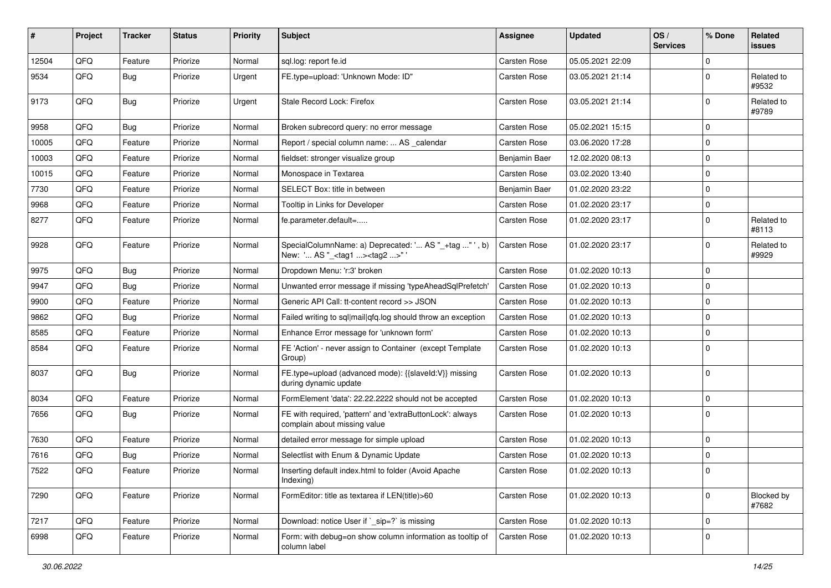| #     | <b>Project</b> | <b>Tracker</b> | <b>Status</b> | <b>Priority</b> | Subject                                                                                             | <b>Assignee</b>     | <b>Updated</b>   | OS/<br><b>Services</b> | % Done      | Related<br>issues          |
|-------|----------------|----------------|---------------|-----------------|-----------------------------------------------------------------------------------------------------|---------------------|------------------|------------------------|-------------|----------------------------|
| 12504 | QFQ            | Feature        | Priorize      | Normal          | sql.log: report fe.id                                                                               | Carsten Rose        | 05.05.2021 22:09 |                        | $\Omega$    |                            |
| 9534  | QFQ            | Bug            | Priorize      | Urgent          | FE.type=upload: 'Unknown Mode: ID"                                                                  | Carsten Rose        | 03.05.2021 21:14 |                        | $\mathbf 0$ | Related to<br>#9532        |
| 9173  | QFQ            | Bug            | Priorize      | Urgent          | Stale Record Lock: Firefox                                                                          | Carsten Rose        | 03.05.2021 21:14 |                        | $\mathbf 0$ | Related to<br>#9789        |
| 9958  | QFQ            | Bug            | Priorize      | Normal          | Broken subrecord query: no error message                                                            | Carsten Rose        | 05.02.2021 15:15 |                        | $\Omega$    |                            |
| 10005 | QFQ            | Feature        | Priorize      | Normal          | Report / special column name:  AS _calendar                                                         | Carsten Rose        | 03.06.2020 17:28 |                        | 0           |                            |
| 10003 | QFQ            | Feature        | Priorize      | Normal          | fieldset: stronger visualize group                                                                  | Benjamin Baer       | 12.02.2020 08:13 |                        | $\Omega$    |                            |
| 10015 | QFQ            | Feature        | Priorize      | Normal          | Monospace in Textarea                                                                               | Carsten Rose        | 03.02.2020 13:40 |                        | $\mathbf 0$ |                            |
| 7730  | QFQ            | Feature        | Priorize      | Normal          | SELECT Box: title in between                                                                        | Benjamin Baer       | 01.02.2020 23:22 |                        | $\Omega$    |                            |
| 9968  | QFQ            | Feature        | Priorize      | Normal          | Tooltip in Links for Developer                                                                      | Carsten Rose        | 01.02.2020 23:17 |                        | $\mathbf 0$ |                            |
| 8277  | QFQ            | Feature        | Priorize      | Normal          | fe.parameter.default=                                                                               | Carsten Rose        | 01.02.2020 23:17 |                        | $\mathbf 0$ | Related to<br>#8113        |
| 9928  | QFQ            | Feature        | Priorize      | Normal          | SpecialColumnName: a) Deprecated: ' AS "_+tag " ', b)<br>New: ' AS "_ <tag1><tag2>" '</tag2></tag1> | <b>Carsten Rose</b> | 01.02.2020 23:17 |                        | $\mathbf 0$ | Related to<br>#9929        |
| 9975  | QFQ            | Bug            | Priorize      | Normal          | Dropdown Menu: 'r:3' broken                                                                         | Carsten Rose        | 01.02.2020 10:13 |                        | $\Omega$    |                            |
| 9947  | QFQ            | Bug            | Priorize      | Normal          | Unwanted error message if missing 'typeAheadSqlPrefetch'                                            | <b>Carsten Rose</b> | 01.02.2020 10:13 |                        | $\Omega$    |                            |
| 9900  | QFQ            | Feature        | Priorize      | Normal          | Generic API Call: tt-content record >> JSON                                                         | Carsten Rose        | 01.02.2020 10:13 |                        | $\Omega$    |                            |
| 9862  | QFQ            | <b>Bug</b>     | Priorize      | Normal          | Failed writing to sql mail qfq.log should throw an exception                                        | Carsten Rose        | 01.02.2020 10:13 |                        | $\Omega$    |                            |
| 8585  | QFQ            | Feature        | Priorize      | Normal          | Enhance Error message for 'unknown form'                                                            | Carsten Rose        | 01.02.2020 10:13 |                        | $\mathbf 0$ |                            |
| 8584  | QFQ            | Feature        | Priorize      | Normal          | FE 'Action' - never assign to Container (except Template<br>Group)                                  | Carsten Rose        | 01.02.2020 10:13 |                        | $\Omega$    |                            |
| 8037  | QFQ            | Bug            | Priorize      | Normal          | FE.type=upload (advanced mode): {{slaveld:V}} missing<br>during dynamic update                      | Carsten Rose        | 01.02.2020 10:13 |                        | $\Omega$    |                            |
| 8034  | QFQ            | Feature        | Priorize      | Normal          | FormElement 'data': 22.22.2222 should not be accepted                                               | Carsten Rose        | 01.02.2020 10:13 |                        | $\mathbf 0$ |                            |
| 7656  | QFQ            | Bug            | Priorize      | Normal          | FE with required, 'pattern' and 'extraButtonLock': always<br>complain about missing value           | Carsten Rose        | 01.02.2020 10:13 |                        | $\Omega$    |                            |
| 7630  | QFQ            | Feature        | Priorize      | Normal          | detailed error message for simple upload                                                            | Carsten Rose        | 01.02.2020 10:13 |                        | $\mathbf 0$ |                            |
| 7616  | QFQ            | Bug            | Priorize      | Normal          | Selectlist with Enum & Dynamic Update                                                               | Carsten Rose        | 01.02.2020 10:13 |                        | $\mathbf 0$ |                            |
| 7522  | QFQ            | Feature        | Priorize      | Normal          | Inserting default index.html to folder (Avoid Apache<br>Indexing)                                   | Carsten Rose        | 01.02.2020 10:13 |                        | 0           |                            |
| 7290  | QFQ            | Feature        | Priorize      | Normal          | FormEditor: title as textarea if LEN(title)>60                                                      | <b>Carsten Rose</b> | 01.02.2020 10:13 |                        | $\mathbf 0$ | <b>Blocked by</b><br>#7682 |
| 7217  | QFQ            | Feature        | Priorize      | Normal          | Download: notice User if `_sip=?` is missing                                                        | Carsten Rose        | 01.02.2020 10:13 |                        | $\mathbf 0$ |                            |
| 6998  | QFQ            | Feature        | Priorize      | Normal          | Form: with debug=on show column information as tooltip of<br>column label                           | Carsten Rose        | 01.02.2020 10:13 |                        | 0           |                            |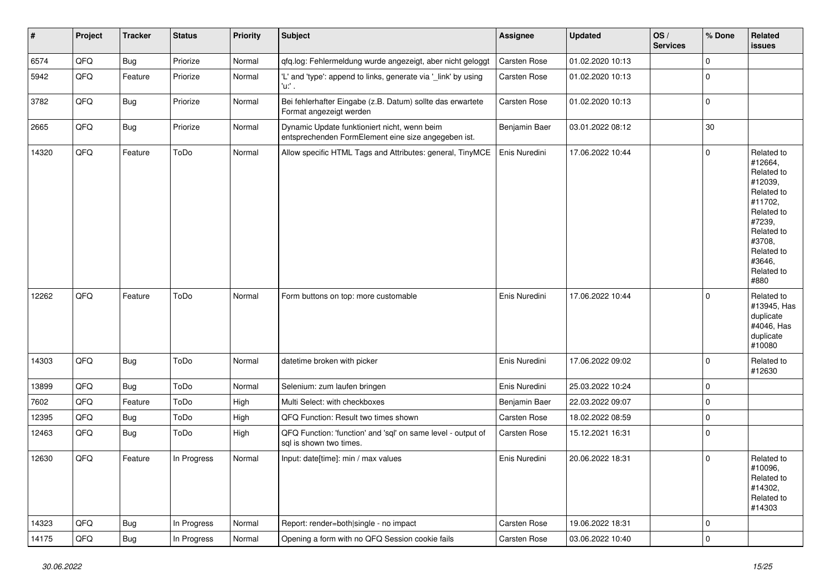| $\vert$ # | Project | <b>Tracker</b> | <b>Status</b> | <b>Priority</b> | <b>Subject</b>                                                                                      | <b>Assignee</b>     | <b>Updated</b>   | OS/<br><b>Services</b> | % Done              | <b>Related</b><br><b>issues</b>                                                                                                                                       |
|-----------|---------|----------------|---------------|-----------------|-----------------------------------------------------------------------------------------------------|---------------------|------------------|------------------------|---------------------|-----------------------------------------------------------------------------------------------------------------------------------------------------------------------|
| 6574      | QFQ     | <b>Bug</b>     | Priorize      | Normal          | qfq.log: Fehlermeldung wurde angezeigt, aber nicht geloggt                                          | <b>Carsten Rose</b> | 01.02.2020 10:13 |                        | $\mathsf{O}\xspace$ |                                                                                                                                                                       |
| 5942      | QFQ     | Feature        | Priorize      | Normal          | 'L' and 'type': append to links, generate via '_link' by using<br>'u:' .                            | Carsten Rose        | 01.02.2020 10:13 |                        | $\pmb{0}$           |                                                                                                                                                                       |
| 3782      | QFQ     | <b>Bug</b>     | Priorize      | Normal          | Bei fehlerhafter Eingabe (z.B. Datum) sollte das erwartete<br>Format angezeigt werden               | Carsten Rose        | 01.02.2020 10:13 |                        | $\mathbf 0$         |                                                                                                                                                                       |
| 2665      | QFQ     | <b>Bug</b>     | Priorize      | Normal          | Dynamic Update funktioniert nicht, wenn beim<br>entsprechenden FormElement eine size angegeben ist. | Benjamin Baer       | 03.01.2022 08:12 |                        | 30                  |                                                                                                                                                                       |
| 14320     | QFQ     | Feature        | ToDo          | Normal          | Allow specific HTML Tags and Attributes: general, TinyMCE                                           | Enis Nuredini       | 17.06.2022 10:44 |                        | $\mathsf{O}$        | Related to<br>#12664,<br>Related to<br>#12039,<br>Related to<br>#11702.<br>Related to<br>#7239,<br>Related to<br>#3708,<br>Related to<br>#3646,<br>Related to<br>#880 |
| 12262     | QFQ     | Feature        | ToDo          | Normal          | Form buttons on top: more customable                                                                | Enis Nuredini       | 17.06.2022 10:44 |                        | $\mathbf 0$         | Related to<br>#13945, Has<br>duplicate<br>#4046, Has<br>duplicate<br>#10080                                                                                           |
| 14303     | QFQ     | <b>Bug</b>     | ToDo          | Normal          | datetime broken with picker                                                                         | Enis Nuredini       | 17.06.2022 09:02 |                        | $\mathbf 0$         | Related to<br>#12630                                                                                                                                                  |
| 13899     | QFQ     | Bug            | ToDo          | Normal          | Selenium: zum laufen bringen                                                                        | Enis Nuredini       | 25.03.2022 10:24 |                        | $\mathsf{O}\xspace$ |                                                                                                                                                                       |
| 7602      | QFQ     | Feature        | ToDo          | High            | Multi Select: with checkboxes                                                                       | Benjamin Baer       | 22.03.2022 09:07 |                        | $\mathsf{O}\xspace$ |                                                                                                                                                                       |
| 12395     | QFQ     | Bug            | ToDo          | High            | QFQ Function: Result two times shown                                                                | Carsten Rose        | 18.02.2022 08:59 |                        | $\pmb{0}$           |                                                                                                                                                                       |
| 12463     | QFQ     | Bug            | ToDo          | High            | QFQ Function: 'function' and 'sql' on same level - output of<br>sal is shown two times.             | Carsten Rose        | 15.12.2021 16:31 |                        | $\mathbf{0}$        |                                                                                                                                                                       |
| 12630     | QFQ     | Feature        | In Progress   | Normal          | Input: date[time]: min / max values                                                                 | Enis Nuredini       | 20.06.2022 18:31 |                        | $\Omega$            | Related to<br>#10096,<br>Related to<br>#14302,<br>Related to<br>#14303                                                                                                |
| 14323     | QFQ     | <b>Bug</b>     | In Progress   | Normal          | Report: render=both single - no impact                                                              | Carsten Rose        | 19.06.2022 18:31 |                        | $\mathbf 0$         |                                                                                                                                                                       |
| 14175     | QFQ     | <b>Bug</b>     | In Progress   | Normal          | Opening a form with no QFQ Session cookie fails                                                     | Carsten Rose        | 03.06.2022 10:40 |                        | $\Omega$            |                                                                                                                                                                       |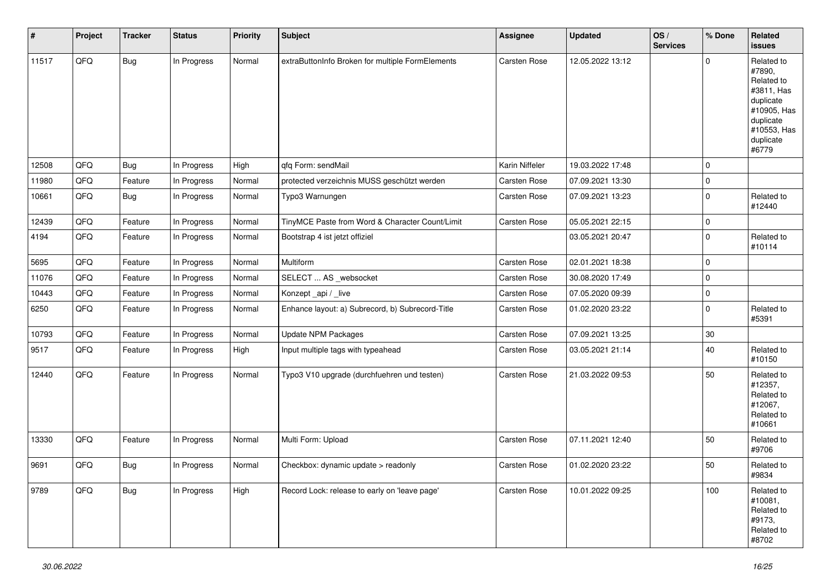| $\pmb{\#}$ | Project | <b>Tracker</b> | <b>Status</b> | <b>Priority</b> | <b>Subject</b>                                   | <b>Assignee</b>     | <b>Updated</b>   | OS/<br><b>Services</b> | % Done      | Related<br><b>issues</b>                                                                                                       |
|------------|---------|----------------|---------------|-----------------|--------------------------------------------------|---------------------|------------------|------------------------|-------------|--------------------------------------------------------------------------------------------------------------------------------|
| 11517      | QFQ     | Bug            | In Progress   | Normal          | extraButtonInfo Broken for multiple FormElements | Carsten Rose        | 12.05.2022 13:12 |                        | $\Omega$    | Related to<br>#7890,<br>Related to<br>#3811, Has<br>duplicate<br>#10905, Has<br>duplicate<br>#10553, Has<br>duplicate<br>#6779 |
| 12508      | QFQ     | Bug            | In Progress   | High            | qfq Form: sendMail                               | Karin Niffeler      | 19.03.2022 17:48 |                        | 0           |                                                                                                                                |
| 11980      | QFQ     | Feature        | In Progress   | Normal          | protected verzeichnis MUSS geschützt werden      | Carsten Rose        | 07.09.2021 13:30 |                        | $\pmb{0}$   |                                                                                                                                |
| 10661      | QFQ     | <b>Bug</b>     | In Progress   | Normal          | Typo3 Warnungen                                  | Carsten Rose        | 07.09.2021 13:23 |                        | $\mathbf 0$ | Related to<br>#12440                                                                                                           |
| 12439      | QFQ     | Feature        | In Progress   | Normal          | TinyMCE Paste from Word & Character Count/Limit  | Carsten Rose        | 05.05.2021 22:15 |                        | $\mathbf 0$ |                                                                                                                                |
| 4194       | QFQ     | Feature        | In Progress   | Normal          | Bootstrap 4 ist jetzt offiziel                   |                     | 03.05.2021 20:47 |                        | $\mathbf 0$ | Related to<br>#10114                                                                                                           |
| 5695       | QFQ     | Feature        | In Progress   | Normal          | Multiform                                        | Carsten Rose        | 02.01.2021 18:38 |                        | 0           |                                                                                                                                |
| 11076      | QFQ     | Feature        | In Progress   | Normal          | SELECT  AS _websocket                            | <b>Carsten Rose</b> | 30.08.2020 17:49 |                        | 0           |                                                                                                                                |
| 10443      | QFQ     | Feature        | In Progress   | Normal          | Konzept_api / _live                              | Carsten Rose        | 07.05.2020 09:39 |                        | $\pmb{0}$   |                                                                                                                                |
| 6250       | QFQ     | Feature        | In Progress   | Normal          | Enhance layout: a) Subrecord, b) Subrecord-Title | Carsten Rose        | 01.02.2020 23:22 |                        | $\mathbf 0$ | Related to<br>#5391                                                                                                            |
| 10793      | QFQ     | Feature        | In Progress   | Normal          | <b>Update NPM Packages</b>                       | <b>Carsten Rose</b> | 07.09.2021 13:25 |                        | $30\,$      |                                                                                                                                |
| 9517       | QFQ     | Feature        | In Progress   | High            | Input multiple tags with typeahead               | Carsten Rose        | 03.05.2021 21:14 |                        | 40          | Related to<br>#10150                                                                                                           |
| 12440      | QFQ     | Feature        | In Progress   | Normal          | Typo3 V10 upgrade (durchfuehren und testen)      | Carsten Rose        | 21.03.2022 09:53 |                        | 50          | Related to<br>#12357,<br>Related to<br>#12067,<br>Related to<br>#10661                                                         |
| 13330      | QFQ     | Feature        | In Progress   | Normal          | Multi Form: Upload                               | Carsten Rose        | 07.11.2021 12:40 |                        | 50          | Related to<br>#9706                                                                                                            |
| 9691       | QFQ     | Bug            | In Progress   | Normal          | Checkbox: dynamic update > readonly              | Carsten Rose        | 01.02.2020 23:22 |                        | 50          | Related to<br>#9834                                                                                                            |
| 9789       | QFQ     | <b>Bug</b>     | In Progress   | High            | Record Lock: release to early on 'leave page'    | Carsten Rose        | 10.01.2022 09:25 |                        | 100         | Related to<br>#10081,<br>Related to<br>#9173,<br>Related to<br>#8702                                                           |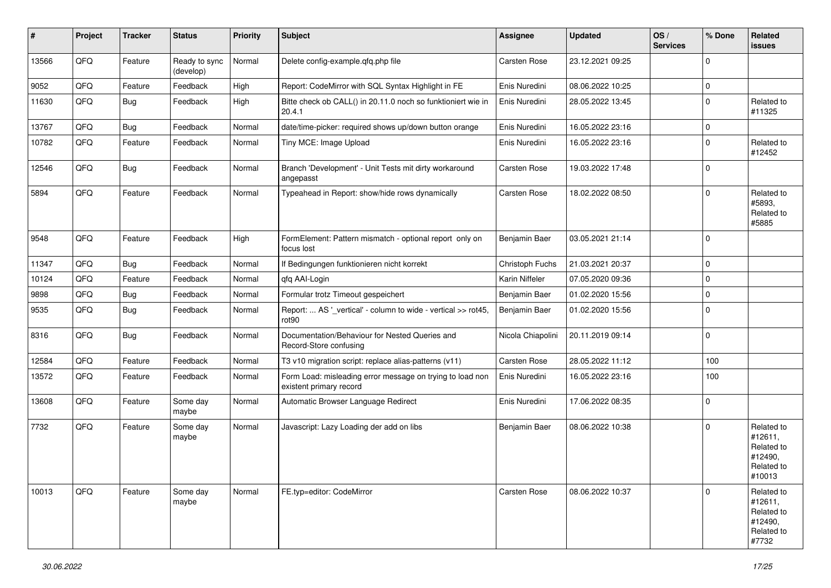| #     | Project | <b>Tracker</b> | <b>Status</b>              | <b>Priority</b> | Subject                                                                              | Assignee          | <b>Updated</b>   | OS/<br><b>Services</b> | % Done      | Related<br>issues                                                      |
|-------|---------|----------------|----------------------------|-----------------|--------------------------------------------------------------------------------------|-------------------|------------------|------------------------|-------------|------------------------------------------------------------------------|
| 13566 | QFQ     | Feature        | Ready to sync<br>(develop) | Normal          | Delete config-example.qfq.php file                                                   | Carsten Rose      | 23.12.2021 09:25 |                        | $\mathbf 0$ |                                                                        |
| 9052  | QFQ     | Feature        | Feedback                   | High            | Report: CodeMirror with SQL Syntax Highlight in FE                                   | Enis Nuredini     | 08.06.2022 10:25 |                        | 0           |                                                                        |
| 11630 | QFQ     | Bug            | Feedback                   | High            | Bitte check ob CALL() in 20.11.0 noch so funktioniert wie in<br>20.4.1               | Enis Nuredini     | 28.05.2022 13:45 |                        | $\mathbf 0$ | Related to<br>#11325                                                   |
| 13767 | QFQ     | <b>Bug</b>     | Feedback                   | Normal          | date/time-picker: required shows up/down button orange                               | Enis Nuredini     | 16.05.2022 23:16 |                        | 0           |                                                                        |
| 10782 | QFQ     | Feature        | Feedback                   | Normal          | Tiny MCE: Image Upload                                                               | Enis Nuredini     | 16.05.2022 23:16 |                        | $\mathbf 0$ | Related to<br>#12452                                                   |
| 12546 | QFQ     | Bug            | Feedback                   | Normal          | Branch 'Development' - Unit Tests mit dirty workaround<br>angepasst                  | Carsten Rose      | 19.03.2022 17:48 |                        | $\mathbf 0$ |                                                                        |
| 5894  | QFQ     | Feature        | Feedback                   | Normal          | Typeahead in Report: show/hide rows dynamically                                      | Carsten Rose      | 18.02.2022 08:50 |                        | $\mathbf 0$ | Related to<br>#5893,<br>Related to<br>#5885                            |
| 9548  | QFQ     | Feature        | Feedback                   | High            | FormElement: Pattern mismatch - optional report only on<br>focus lost                | Benjamin Baer     | 03.05.2021 21:14 |                        | $\mathbf 0$ |                                                                        |
| 11347 | QFQ     | <b>Bug</b>     | Feedback                   | Normal          | If Bedingungen funktionieren nicht korrekt                                           | Christoph Fuchs   | 21.03.2021 20:37 |                        | 0           |                                                                        |
| 10124 | QFQ     | Feature        | Feedback                   | Normal          | qfq AAI-Login                                                                        | Karin Niffeler    | 07.05.2020 09:36 |                        | $\mathbf 0$ |                                                                        |
| 9898  | QFQ     | <b>Bug</b>     | Feedback                   | Normal          | Formular trotz Timeout gespeichert                                                   | Benjamin Baer     | 01.02.2020 15:56 |                        | 0           |                                                                        |
| 9535  | QFQ     | Bug            | Feedback                   | Normal          | Report:  AS '_vertical' - column to wide - vertical >> rot45,<br>rot <sub>90</sub>   | Benjamin Baer     | 01.02.2020 15:56 |                        | $\mathbf 0$ |                                                                        |
| 8316  | QFQ     | <b>Bug</b>     | Feedback                   | Normal          | Documentation/Behaviour for Nested Queries and<br>Record-Store confusing             | Nicola Chiapolini | 20.11.2019 09:14 |                        | $\mathbf 0$ |                                                                        |
| 12584 | QFQ     | Feature        | Feedback                   | Normal          | T3 v10 migration script: replace alias-patterns (v11)                                | Carsten Rose      | 28.05.2022 11:12 |                        | 100         |                                                                        |
| 13572 | QFQ     | Feature        | Feedback                   | Normal          | Form Load: misleading error message on trying to load non<br>existent primary record | Enis Nuredini     | 16.05.2022 23:16 |                        | 100         |                                                                        |
| 13608 | QFQ     | Feature        | Some day<br>maybe          | Normal          | Automatic Browser Language Redirect                                                  | Enis Nuredini     | 17.06.2022 08:35 |                        | $\mathbf 0$ |                                                                        |
| 7732  | QFQ     | Feature        | Some day<br>maybe          | Normal          | Javascript: Lazy Loading der add on libs                                             | Benjamin Baer     | 08.06.2022 10:38 |                        | $\mathbf 0$ | Related to<br>#12611,<br>Related to<br>#12490,<br>Related to<br>#10013 |
| 10013 | QFQ     | Feature        | Some day<br>maybe          | Normal          | FE.typ=editor: CodeMirror                                                            | Carsten Rose      | 08.06.2022 10:37 |                        | $\Omega$    | Related to<br>#12611,<br>Related to<br>#12490,<br>Related to<br>#7732  |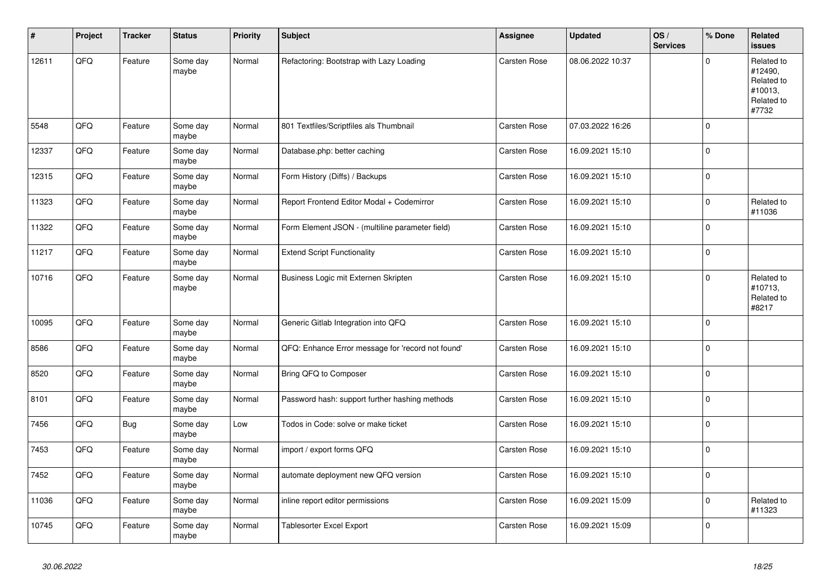| ∦     | Project | <b>Tracker</b> | <b>Status</b>     | <b>Priority</b> | <b>Subject</b>                                    | Assignee            | <b>Updated</b>   | OS/<br><b>Services</b> | % Done              | Related<br><b>issues</b>                                              |
|-------|---------|----------------|-------------------|-----------------|---------------------------------------------------|---------------------|------------------|------------------------|---------------------|-----------------------------------------------------------------------|
| 12611 | QFQ     | Feature        | Some day<br>maybe | Normal          | Refactoring: Bootstrap with Lazy Loading          | Carsten Rose        | 08.06.2022 10:37 |                        | $\Omega$            | Related to<br>#12490,<br>Related to<br>#10013,<br>Related to<br>#7732 |
| 5548  | QFQ     | Feature        | Some day<br>maybe | Normal          | 801 Textfiles/Scriptfiles als Thumbnail           | Carsten Rose        | 07.03.2022 16:26 |                        | $\Omega$            |                                                                       |
| 12337 | QFQ     | Feature        | Some day<br>maybe | Normal          | Database.php: better caching                      | <b>Carsten Rose</b> | 16.09.2021 15:10 |                        | $\mathbf{0}$        |                                                                       |
| 12315 | QFQ     | Feature        | Some day<br>maybe | Normal          | Form History (Diffs) / Backups                    | Carsten Rose        | 16.09.2021 15:10 |                        | $\mathsf{O}\xspace$ |                                                                       |
| 11323 | QFQ     | Feature        | Some day<br>maybe | Normal          | Report Frontend Editor Modal + Codemirror         | <b>Carsten Rose</b> | 16.09.2021 15:10 |                        | $\mathbf{0}$        | Related to<br>#11036                                                  |
| 11322 | QFO     | Feature        | Some day<br>maybe | Normal          | Form Element JSON - (multiline parameter field)   | Carsten Rose        | 16.09.2021 15:10 |                        | $\Omega$            |                                                                       |
| 11217 | QFQ     | Feature        | Some day<br>maybe | Normal          | <b>Extend Script Functionality</b>                | Carsten Rose        | 16.09.2021 15:10 |                        | $\mathbf 0$         |                                                                       |
| 10716 | QFQ     | Feature        | Some day<br>maybe | Normal          | Business Logic mit Externen Skripten              | <b>Carsten Rose</b> | 16.09.2021 15:10 |                        | $\Omega$            | Related to<br>#10713,<br>Related to<br>#8217                          |
| 10095 | QFQ     | Feature        | Some day<br>maybe | Normal          | Generic Gitlab Integration into QFQ               | Carsten Rose        | 16.09.2021 15:10 |                        | $\Omega$            |                                                                       |
| 8586  | QFQ     | Feature        | Some day<br>maybe | Normal          | QFQ: Enhance Error message for 'record not found' | Carsten Rose        | 16.09.2021 15:10 |                        | $\mathbf 0$         |                                                                       |
| 8520  | QFQ     | Feature        | Some day<br>maybe | Normal          | Bring QFQ to Composer                             | <b>Carsten Rose</b> | 16.09.2021 15:10 |                        | $\mathbf{0}$        |                                                                       |
| 8101  | QFQ     | Feature        | Some day<br>maybe | Normal          | Password hash: support further hashing methods    | Carsten Rose        | 16.09.2021 15:10 |                        | $\mathbf 0$         |                                                                       |
| 7456  | QFQ     | Bug            | Some day<br>maybe | Low             | Todos in Code: solve or make ticket               | Carsten Rose        | 16.09.2021 15:10 |                        | $\overline{0}$      |                                                                       |
| 7453  | QFQ     | Feature        | Some day<br>maybe | Normal          | import / export forms QFQ                         | Carsten Rose        | 16.09.2021 15:10 |                        | $\mathbf{0}$        |                                                                       |
| 7452  | QFQ     | Feature        | Some day<br>maybe | Normal          | automate deployment new QFQ version               | Carsten Rose        | 16.09.2021 15:10 |                        | $\mathbf 0$         |                                                                       |
| 11036 | QFQ     | Feature        | Some day<br>maybe | Normal          | inline report editor permissions                  | Carsten Rose        | 16.09.2021 15:09 |                        | $\mathbf{0}$        | Related to<br>#11323                                                  |
| 10745 | QFQ     | Feature        | Some day<br>maybe | Normal          | <b>Tablesorter Excel Export</b>                   | Carsten Rose        | 16.09.2021 15:09 |                        | $\mathbf 0$         |                                                                       |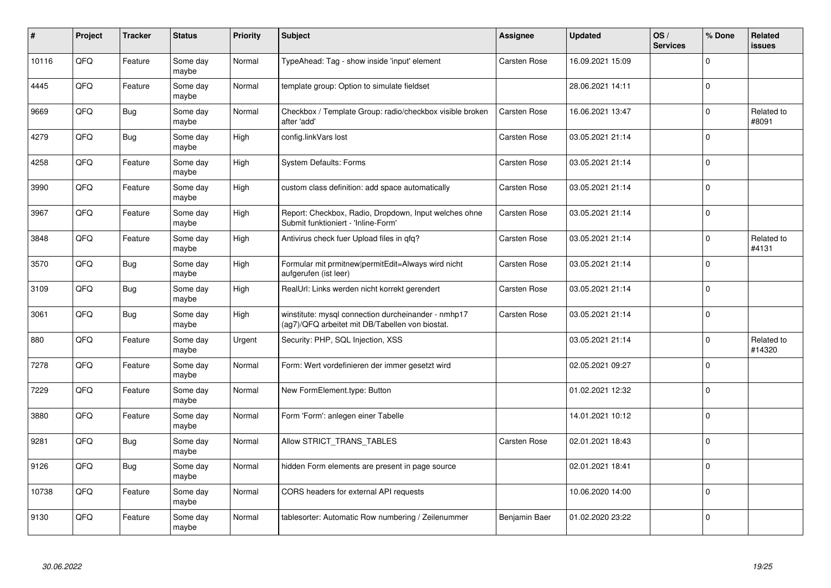| #     | Project | <b>Tracker</b> | <b>Status</b>     | <b>Priority</b> | <b>Subject</b>                                                                                         | Assignee            | <b>Updated</b>   | OS/<br><b>Services</b> | % Done              | <b>Related</b><br><b>issues</b> |
|-------|---------|----------------|-------------------|-----------------|--------------------------------------------------------------------------------------------------------|---------------------|------------------|------------------------|---------------------|---------------------------------|
| 10116 | QFQ     | Feature        | Some day<br>maybe | Normal          | TypeAhead: Tag - show inside 'input' element                                                           | <b>Carsten Rose</b> | 16.09.2021 15:09 |                        | $\Omega$            |                                 |
| 4445  | QFQ     | Feature        | Some day<br>maybe | Normal          | template group: Option to simulate fieldset                                                            |                     | 28.06.2021 14:11 |                        | $\mathbf 0$         |                                 |
| 9669  | QFQ     | Bug            | Some day<br>maybe | Normal          | Checkbox / Template Group: radio/checkbox visible broken<br>after 'add'                                | <b>Carsten Rose</b> | 16.06.2021 13:47 |                        | $\mathbf 0$         | Related to<br>#8091             |
| 4279  | QFQ     | <b>Bug</b>     | Some day<br>maybe | High            | config.linkVars lost                                                                                   | Carsten Rose        | 03.05.2021 21:14 |                        | $\Omega$            |                                 |
| 4258  | QFQ     | Feature        | Some day<br>maybe | High            | <b>System Defaults: Forms</b>                                                                          | <b>Carsten Rose</b> | 03.05.2021 21:14 |                        | $\mathbf 0$         |                                 |
| 3990  | QFQ     | Feature        | Some day<br>maybe | High            | custom class definition: add space automatically                                                       | <b>Carsten Rose</b> | 03.05.2021 21:14 |                        | $\Omega$            |                                 |
| 3967  | QFQ     | Feature        | Some day<br>maybe | High            | Report: Checkbox, Radio, Dropdown, Input welches ohne<br>Submit funktioniert - 'Inline-Form'           | <b>Carsten Rose</b> | 03.05.2021 21:14 |                        | $\mathbf 0$         |                                 |
| 3848  | QFQ     | Feature        | Some day<br>maybe | High            | Antivirus check fuer Upload files in qfq?                                                              | Carsten Rose        | 03.05.2021 21:14 |                        | $\overline{0}$      | Related to<br>#4131             |
| 3570  | QFQ     | <b>Bug</b>     | Some day<br>maybe | High            | Formular mit prmitnew permitEdit=Always wird nicht<br>aufgerufen (ist leer)                            | Carsten Rose        | 03.05.2021 21:14 |                        | $\Omega$            |                                 |
| 3109  | QFQ     | <b>Bug</b>     | Some day<br>maybe | High            | RealUrl: Links werden nicht korrekt gerendert                                                          | <b>Carsten Rose</b> | 03.05.2021 21:14 |                        | $\mathbf{0}$        |                                 |
| 3061  | QFQ     | <b>Bug</b>     | Some day<br>maybe | High            | winstitute: mysql connection durcheinander - nmhp17<br>(ag7)/QFQ arbeitet mit DB/Tabellen von biostat. | Carsten Rose        | 03.05.2021 21:14 |                        | $\mathbf 0$         |                                 |
| 880   | QFQ     | Feature        | Some day<br>maybe | Urgent          | Security: PHP, SQL Injection, XSS                                                                      |                     | 03.05.2021 21:14 |                        | $\mathsf{O}\xspace$ | Related to<br>#14320            |
| 7278  | QFQ     | Feature        | Some day<br>maybe | Normal          | Form: Wert vordefinieren der immer gesetzt wird                                                        |                     | 02.05.2021 09:27 |                        | $\mathbf 0$         |                                 |
| 7229  | QFQ     | Feature        | Some day<br>maybe | Normal          | New FormElement.type: Button                                                                           |                     | 01.02.2021 12:32 |                        | $\mathbf 0$         |                                 |
| 3880  | QFQ     | Feature        | Some day<br>maybe | Normal          | Form 'Form': anlegen einer Tabelle                                                                     |                     | 14.01.2021 10:12 |                        | $\Omega$            |                                 |
| 9281  | QFQ     | Bug            | Some day<br>maybe | Normal          | Allow STRICT_TRANS_TABLES                                                                              | <b>Carsten Rose</b> | 02.01.2021 18:43 |                        | $\Omega$            |                                 |
| 9126  | QFQ     | <b>Bug</b>     | Some day<br>maybe | Normal          | hidden Form elements are present in page source                                                        |                     | 02.01.2021 18:41 |                        | $\mathbf 0$         |                                 |
| 10738 | QFQ     | Feature        | Some day<br>maybe | Normal          | CORS headers for external API requests                                                                 |                     | 10.06.2020 14:00 |                        | $\Omega$            |                                 |
| 9130  | QFQ     | Feature        | Some day<br>maybe | Normal          | tablesorter: Automatic Row numbering / Zeilenummer                                                     | Benjamin Baer       | 01.02.2020 23:22 |                        | $\mathbf{0}$        |                                 |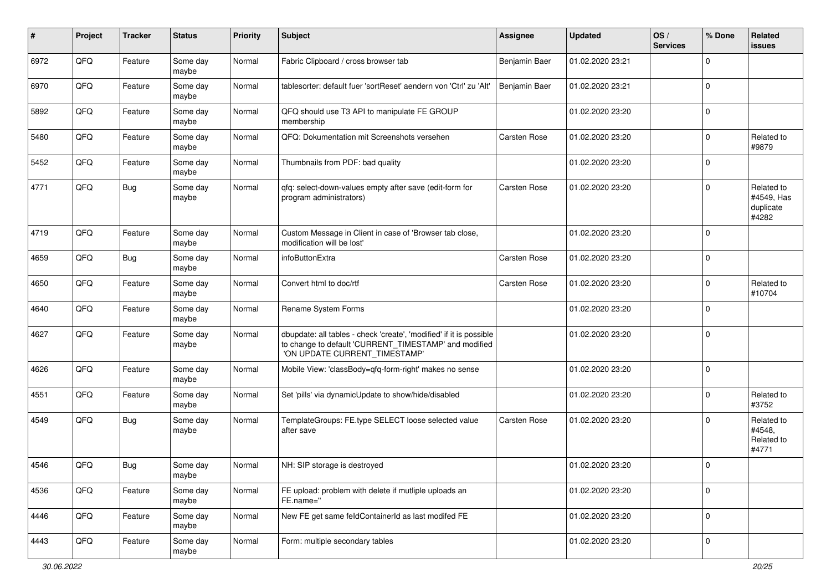| #    | Project | <b>Tracker</b> | <b>Status</b>     | <b>Priority</b> | <b>Subject</b>                                                                                                                                                | Assignee            | <b>Updated</b>   | OS/<br><b>Services</b> | % Done              | Related<br><b>issues</b>                       |
|------|---------|----------------|-------------------|-----------------|---------------------------------------------------------------------------------------------------------------------------------------------------------------|---------------------|------------------|------------------------|---------------------|------------------------------------------------|
| 6972 | QFQ     | Feature        | Some day<br>maybe | Normal          | Fabric Clipboard / cross browser tab                                                                                                                          | Benjamin Baer       | 01.02.2020 23:21 |                        | 0                   |                                                |
| 6970 | QFQ     | Feature        | Some day<br>maybe | Normal          | tablesorter: default fuer 'sortReset' aendern von 'Ctrl' zu 'Alt'                                                                                             | Benjamin Baer       | 01.02.2020 23:21 |                        | $\Omega$            |                                                |
| 5892 | QFQ     | Feature        | Some day<br>maybe | Normal          | QFQ should use T3 API to manipulate FE GROUP<br>membership                                                                                                    |                     | 01.02.2020 23:20 |                        | $\Omega$            |                                                |
| 5480 | QFQ     | Feature        | Some day<br>maybe | Normal          | QFQ: Dokumentation mit Screenshots versehen                                                                                                                   | <b>Carsten Rose</b> | 01.02.2020 23:20 |                        | $\mathbf 0$         | Related to<br>#9879                            |
| 5452 | QFQ     | Feature        | Some day<br>maybe | Normal          | Thumbnails from PDF: bad quality                                                                                                                              |                     | 01.02.2020 23:20 |                        | $\mathbf 0$         |                                                |
| 4771 | QFQ     | <b>Bug</b>     | Some day<br>maybe | Normal          | qfq: select-down-values empty after save (edit-form for<br>program administrators)                                                                            | <b>Carsten Rose</b> | 01.02.2020 23:20 |                        | $\Omega$            | Related to<br>#4549, Has<br>duplicate<br>#4282 |
| 4719 | QFQ     | Feature        | Some day<br>maybe | Normal          | Custom Message in Client in case of 'Browser tab close,<br>modification will be lost'                                                                         |                     | 01.02.2020 23:20 |                        | $\Omega$            |                                                |
| 4659 | QFQ     | Bug            | Some day<br>maybe | Normal          | infoButtonExtra                                                                                                                                               | <b>Carsten Rose</b> | 01.02.2020 23:20 |                        | $\Omega$            |                                                |
| 4650 | QFQ     | Feature        | Some day<br>maybe | Normal          | Convert html to doc/rtf                                                                                                                                       | <b>Carsten Rose</b> | 01.02.2020 23:20 |                        | $\mathbf 0$         | Related to<br>#10704                           |
| 4640 | QFQ     | Feature        | Some day<br>maybe | Normal          | Rename System Forms                                                                                                                                           |                     | 01.02.2020 23:20 |                        | $\mathbf 0$         |                                                |
| 4627 | QFQ     | Feature        | Some day<br>maybe | Normal          | dbupdate: all tables - check 'create', 'modified' if it is possible<br>to change to default 'CURRENT_TIMESTAMP' and modified<br>'ON UPDATE CURRENT_TIMESTAMP' |                     | 01.02.2020 23:20 |                        | 0                   |                                                |
| 4626 | QFQ     | Feature        | Some day<br>maybe | Normal          | Mobile View: 'classBody=qfq-form-right' makes no sense                                                                                                        |                     | 01.02.2020 23:20 |                        | 0                   |                                                |
| 4551 | QFQ     | Feature        | Some day<br>maybe | Normal          | Set 'pills' via dynamicUpdate to show/hide/disabled                                                                                                           |                     | 01.02.2020 23:20 |                        | $\mathbf 0$         | Related to<br>#3752                            |
| 4549 | QFQ     | <b>Bug</b>     | Some day<br>maybe | Normal          | TemplateGroups: FE.type SELECT loose selected value<br>after save                                                                                             | Carsten Rose        | 01.02.2020 23:20 |                        | $\Omega$            | Related to<br>#4548,<br>Related to<br>#4771    |
| 4546 | QFQ     | Bug            | Some day<br>maybe | Normal          | NH: SIP storage is destroyed                                                                                                                                  |                     | 01.02.2020 23:20 |                        | $\mathbf{0}$        |                                                |
| 4536 | QFO     | Feature        | Some day<br>maybe | Normal          | FE upload: problem with delete if mutliple uploads an<br>FE.name="                                                                                            |                     | 01.02.2020 23:20 |                        | $\mathsf{O}\xspace$ |                                                |
| 4446 | QFG     | Feature        | Some day<br>maybe | Normal          | New FE get same feldContainerId as last modifed FE                                                                                                            |                     | 01.02.2020 23:20 |                        | $\mathbf 0$         |                                                |
| 4443 | QFO     | Feature        | Some day<br>maybe | Normal          | Form: multiple secondary tables                                                                                                                               |                     | 01.02.2020 23:20 |                        | $\mathbf 0$         |                                                |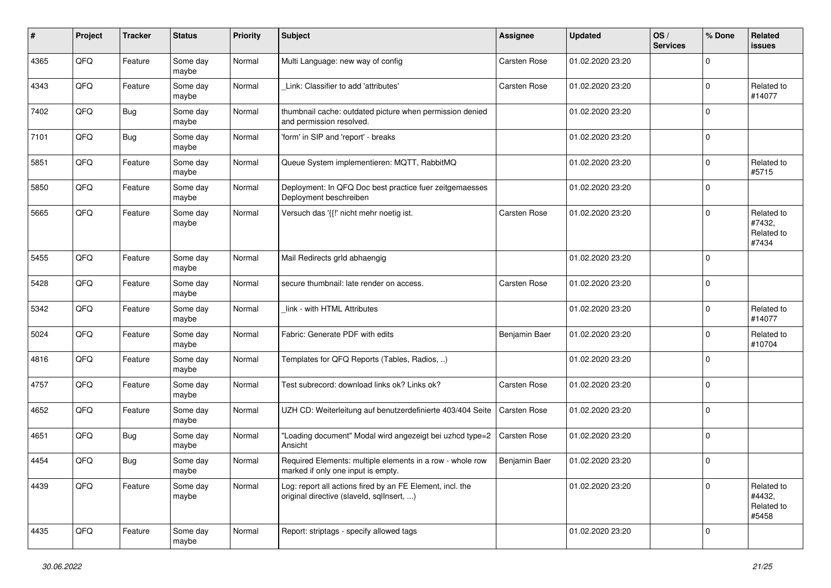| #    | Project | <b>Tracker</b> | <b>Status</b>     | <b>Priority</b> | <b>Subject</b>                                                                                         | <b>Assignee</b>     | <b>Updated</b>   | OS/<br><b>Services</b> | % Done         | Related<br><b>issues</b>                    |
|------|---------|----------------|-------------------|-----------------|--------------------------------------------------------------------------------------------------------|---------------------|------------------|------------------------|----------------|---------------------------------------------|
| 4365 | QFQ     | Feature        | Some day<br>maybe | Normal          | Multi Language: new way of config                                                                      | Carsten Rose        | 01.02.2020 23:20 |                        | $\overline{0}$ |                                             |
| 4343 | QFQ     | Feature        | Some day<br>maybe | Normal          | Link: Classifier to add 'attributes'                                                                   | <b>Carsten Rose</b> | 01.02.2020 23:20 |                        | $\mathbf 0$    | Related to<br>#14077                        |
| 7402 | QFQ     | Bug            | Some day<br>maybe | Normal          | thumbnail cache: outdated picture when permission denied<br>and permission resolved.                   |                     | 01.02.2020 23:20 |                        | $\mathbf 0$    |                                             |
| 7101 | QFQ     | Bug            | Some day<br>maybe | Normal          | 'form' in SIP and 'report' - breaks                                                                    |                     | 01.02.2020 23:20 |                        | $\mathbf 0$    |                                             |
| 5851 | QFQ     | Feature        | Some day<br>maybe | Normal          | Queue System implementieren: MQTT, RabbitMQ                                                            |                     | 01.02.2020 23:20 |                        | $\mathbf 0$    | Related to<br>#5715                         |
| 5850 | QFQ     | Feature        | Some day<br>maybe | Normal          | Deployment: In QFQ Doc best practice fuer zeitgemaesses<br>Deployment beschreiben                      |                     | 01.02.2020 23:20 |                        | $\mathbf 0$    |                                             |
| 5665 | QFQ     | Feature        | Some day<br>maybe | Normal          | Versuch das '{{!' nicht mehr noetig ist.                                                               | Carsten Rose        | 01.02.2020 23:20 |                        | $\mathbf 0$    | Related to<br>#7432,<br>Related to<br>#7434 |
| 5455 | QFQ     | Feature        | Some day<br>maybe | Normal          | Mail Redirects grld abhaengig                                                                          |                     | 01.02.2020 23:20 |                        | $\mathbf 0$    |                                             |
| 5428 | QFQ     | Feature        | Some day<br>maybe | Normal          | secure thumbnail: late render on access.                                                               | Carsten Rose        | 01.02.2020 23:20 |                        | $\mathbf 0$    |                                             |
| 5342 | QFQ     | Feature        | Some day<br>maybe | Normal          | link - with HTML Attributes                                                                            |                     | 01.02.2020 23:20 |                        | $\mathbf 0$    | Related to<br>#14077                        |
| 5024 | QFQ     | Feature        | Some day<br>maybe | Normal          | Fabric: Generate PDF with edits                                                                        | Benjamin Baer       | 01.02.2020 23:20 |                        | $\mathbf 0$    | Related to<br>#10704                        |
| 4816 | QFQ     | Feature        | Some day<br>maybe | Normal          | Templates for QFQ Reports (Tables, Radios, )                                                           |                     | 01.02.2020 23:20 |                        | $\mathbf 0$    |                                             |
| 4757 | QFQ     | Feature        | Some day<br>maybe | Normal          | Test subrecord: download links ok? Links ok?                                                           | Carsten Rose        | 01.02.2020 23:20 |                        | $\mathbf 0$    |                                             |
| 4652 | QFQ     | Feature        | Some day<br>maybe | Normal          | UZH CD: Weiterleitung auf benutzerdefinierte 403/404 Seite                                             | <b>Carsten Rose</b> | 01.02.2020 23:20 |                        | $\mathbf 0$    |                                             |
| 4651 | QFQ     | <b>Bug</b>     | Some day<br>maybe | Normal          | "Loading document" Modal wird angezeigt bei uzhcd type=2<br>Ansicht                                    | Carsten Rose        | 01.02.2020 23:20 |                        | $\mathbf 0$    |                                             |
| 4454 | QFQ     | <b>Bug</b>     | Some day<br>maybe | Normal          | Required Elements: multiple elements in a row - whole row<br>marked if only one input is empty.        | Benjamin Baer       | 01.02.2020 23:20 |                        | $\mathbf 0$    |                                             |
| 4439 | QFQ     | Feature        | Some day<br>maybe | Normal          | Log: report all actions fired by an FE Element, incl. the<br>original directive (slaveld, sqlInsert, ) |                     | 01.02.2020 23:20 |                        | $\mathbf 0$    | Related to<br>#4432,<br>Related to<br>#5458 |
| 4435 | QFO     | Feature        | Some day<br>maybe | Normal          | Report: striptags - specify allowed tags                                                               |                     | 01.02.2020 23:20 |                        | $\mathbf 0$    |                                             |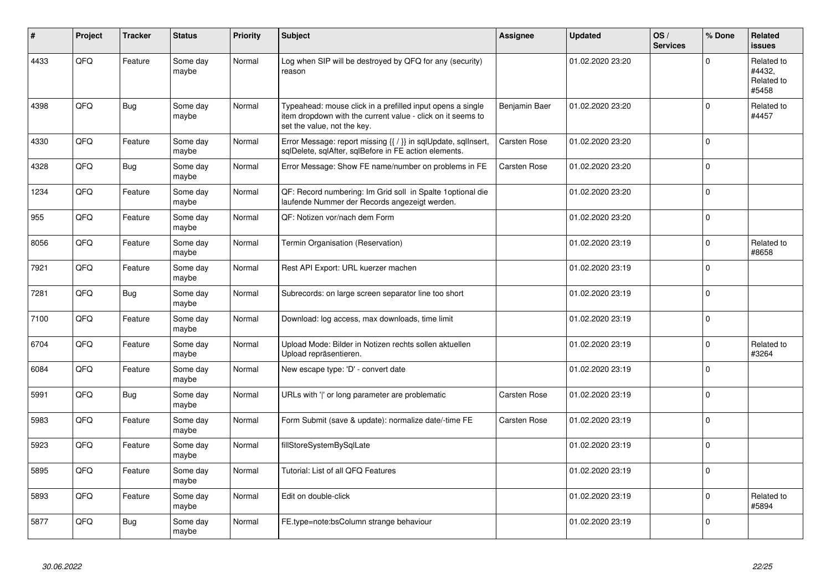| #    | Project | <b>Tracker</b> | <b>Status</b>     | Priority | <b>Subject</b>                                                                                                                                           | <b>Assignee</b>     | <b>Updated</b>   | OS/<br><b>Services</b> | % Done      | Related<br><b>issues</b>                    |
|------|---------|----------------|-------------------|----------|----------------------------------------------------------------------------------------------------------------------------------------------------------|---------------------|------------------|------------------------|-------------|---------------------------------------------|
| 4433 | QFQ     | Feature        | Some day<br>maybe | Normal   | Log when SIP will be destroyed by QFQ for any (security)<br>reason                                                                                       |                     | 01.02.2020 23:20 |                        | $\Omega$    | Related to<br>#4432,<br>Related to<br>#5458 |
| 4398 | QFQ     | <b>Bug</b>     | Some day<br>maybe | Normal   | Typeahead: mouse click in a prefilled input opens a single<br>item dropdown with the current value - click on it seems to<br>set the value, not the key. | Benjamin Baer       | 01.02.2020 23:20 |                        | $\mathbf 0$ | Related to<br>#4457                         |
| 4330 | QFQ     | Feature        | Some day<br>maybe | Normal   | Error Message: report missing {{ / }} in sqlUpdate, sqlInsert,<br>sqlDelete, sqlAfter, sqlBefore in FE action elements.                                  | <b>Carsten Rose</b> | 01.02.2020 23:20 |                        | $\mathbf 0$ |                                             |
| 4328 | QFQ     | <b>Bug</b>     | Some day<br>maybe | Normal   | Error Message: Show FE name/number on problems in FE                                                                                                     | <b>Carsten Rose</b> | 01.02.2020 23:20 |                        | $\mathbf 0$ |                                             |
| 1234 | QFQ     | Feature        | Some day<br>maybe | Normal   | QF: Record numbering: Im Grid soll in Spalte 1 optional die<br>laufende Nummer der Records angezeigt werden.                                             |                     | 01.02.2020 23:20 |                        | $\mathbf 0$ |                                             |
| 955  | QFQ     | Feature        | Some day<br>maybe | Normal   | QF: Notizen vor/nach dem Form                                                                                                                            |                     | 01.02.2020 23:20 |                        | $\mathbf 0$ |                                             |
| 8056 | QFQ     | Feature        | Some day<br>maybe | Normal   | Termin Organisation (Reservation)                                                                                                                        |                     | 01.02.2020 23:19 |                        | $\mathbf 0$ | Related to<br>#8658                         |
| 7921 | QFQ     | Feature        | Some day<br>maybe | Normal   | Rest API Export: URL kuerzer machen                                                                                                                      |                     | 01.02.2020 23:19 |                        | $\Omega$    |                                             |
| 7281 | QFQ     | <b>Bug</b>     | Some day<br>maybe | Normal   | Subrecords: on large screen separator line too short                                                                                                     |                     | 01.02.2020 23:19 |                        | $\Omega$    |                                             |
| 7100 | QFQ     | Feature        | Some day<br>maybe | Normal   | Download: log access, max downloads, time limit                                                                                                          |                     | 01.02.2020 23:19 |                        | $\mathbf 0$ |                                             |
| 6704 | QFQ     | Feature        | Some day<br>maybe | Normal   | Upload Mode: Bilder in Notizen rechts sollen aktuellen<br>Upload repräsentieren.                                                                         |                     | 01.02.2020 23:19 |                        | $\mathbf 0$ | Related to<br>#3264                         |
| 6084 | QFQ     | Feature        | Some day<br>maybe | Normal   | New escape type: 'D' - convert date                                                                                                                      |                     | 01.02.2020 23:19 |                        | $\mathbf 0$ |                                             |
| 5991 | QFQ     | Bug            | Some day<br>maybe | Normal   | URLs with ' ' or long parameter are problematic                                                                                                          | <b>Carsten Rose</b> | 01.02.2020 23:19 |                        | $\mathbf 0$ |                                             |
| 5983 | QFQ     | Feature        | Some day<br>maybe | Normal   | Form Submit (save & update): normalize date/-time FE                                                                                                     | Carsten Rose        | 01.02.2020 23:19 |                        | $\Omega$    |                                             |
| 5923 | QFQ     | Feature        | Some day<br>maybe | Normal   | fillStoreSystemBySqlLate                                                                                                                                 |                     | 01.02.2020 23:19 |                        | $\Omega$    |                                             |
| 5895 | QFQ     | Feature        | Some day<br>maybe | Normal   | Tutorial: List of all QFQ Features                                                                                                                       |                     | 01.02.2020 23:19 |                        | $\mathbf 0$ |                                             |
| 5893 | QFQ     | Feature        | Some day<br>maybe | Normal   | Edit on double-click                                                                                                                                     |                     | 01.02.2020 23:19 |                        | $\mathbf 0$ | Related to<br>#5894                         |
| 5877 | QFQ     | Bug            | Some day<br>maybe | Normal   | FE.type=note:bsColumn strange behaviour                                                                                                                  |                     | 01.02.2020 23:19 |                        | $\Omega$    |                                             |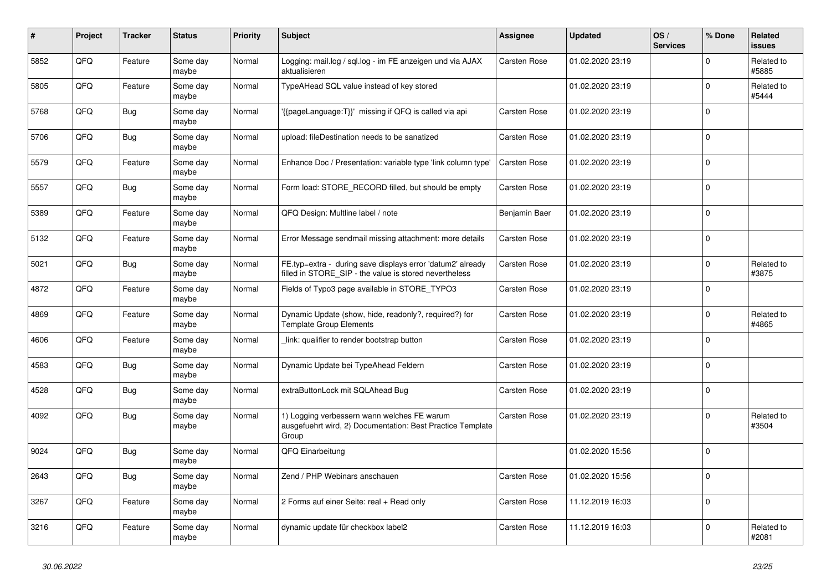| ∦    | Project | <b>Tracker</b> | <b>Status</b>     | <b>Priority</b> | <b>Subject</b>                                                                                                       | <b>Assignee</b>     | <b>Updated</b>   | OS/<br><b>Services</b> | % Done         | Related<br><b>issues</b> |
|------|---------|----------------|-------------------|-----------------|----------------------------------------------------------------------------------------------------------------------|---------------------|------------------|------------------------|----------------|--------------------------|
| 5852 | QFQ     | Feature        | Some day<br>maybe | Normal          | Logging: mail.log / sql.log - im FE anzeigen und via AJAX<br>aktualisieren                                           | <b>Carsten Rose</b> | 01.02.2020 23:19 |                        | $\Omega$       | Related to<br>#5885      |
| 5805 | QFQ     | Feature        | Some day<br>maybe | Normal          | TypeAHead SQL value instead of key stored                                                                            |                     | 01.02.2020 23:19 |                        | $\mathbf 0$    | Related to<br>#5444      |
| 5768 | QFQ     | Bug            | Some day<br>maybe | Normal          | {{pageLanguage:T}}' missing if QFQ is called via api                                                                 | <b>Carsten Rose</b> | 01.02.2020 23:19 |                        | $\Omega$       |                          |
| 5706 | QFQ     | Bug            | Some day<br>maybe | Normal          | upload: fileDestination needs to be sanatized                                                                        | <b>Carsten Rose</b> | 01.02.2020 23:19 |                        | $\Omega$       |                          |
| 5579 | QFQ     | Feature        | Some day<br>maybe | Normal          | Enhance Doc / Presentation: variable type 'link column type'                                                         | <b>Carsten Rose</b> | 01.02.2020 23:19 |                        | $\mathbf 0$    |                          |
| 5557 | QFQ     | Bug            | Some day<br>maybe | Normal          | Form load: STORE_RECORD filled, but should be empty                                                                  | Carsten Rose        | 01.02.2020 23:19 |                        | $\mathbf 0$    |                          |
| 5389 | QFQ     | Feature        | Some day<br>maybe | Normal          | QFQ Design: Multline label / note                                                                                    | Benjamin Baer       | 01.02.2020 23:19 |                        | $\overline{0}$ |                          |
| 5132 | QFQ     | Feature        | Some day<br>maybe | Normal          | Error Message sendmail missing attachment: more details                                                              | <b>Carsten Rose</b> | 01.02.2020 23:19 |                        | 0              |                          |
| 5021 | QFQ     | <b>Bug</b>     | Some day<br>maybe | Normal          | FE.typ=extra - during save displays error 'datum2' already<br>filled in STORE SIP - the value is stored nevertheless | Carsten Rose        | 01.02.2020 23:19 |                        | $\mathbf 0$    | Related to<br>#3875      |
| 4872 | QFQ     | Feature        | Some day<br>maybe | Normal          | Fields of Typo3 page available in STORE TYPO3                                                                        | Carsten Rose        | 01.02.2020 23:19 |                        | $\overline{0}$ |                          |
| 4869 | QFQ     | Feature        | Some day<br>maybe | Normal          | Dynamic Update (show, hide, readonly?, required?) for<br><b>Template Group Elements</b>                              | Carsten Rose        | 01.02.2020 23:19 |                        | $\mathbf 0$    | Related to<br>#4865      |
| 4606 | QFQ     | Feature        | Some day<br>maybe | Normal          | link: qualifier to render bootstrap button                                                                           | Carsten Rose        | 01.02.2020 23:19 |                        | $\Omega$       |                          |
| 4583 | QFQ     | Bug            | Some day<br>maybe | Normal          | Dynamic Update bei TypeAhead Feldern                                                                                 | Carsten Rose        | 01.02.2020 23:19 |                        | $\mathbf 0$    |                          |
| 4528 | QFQ     | Bug            | Some day<br>maybe | Normal          | extraButtonLock mit SQLAhead Bug                                                                                     | <b>Carsten Rose</b> | 01.02.2020 23:19 |                        | $\Omega$       |                          |
| 4092 | QFQ     | <b>Bug</b>     | Some day<br>maybe | Normal          | 1) Logging verbessern wann welches FE warum<br>ausgefuehrt wird, 2) Documentation: Best Practice Template<br>Group   | Carsten Rose        | 01.02.2020 23:19 |                        | $\Omega$       | Related to<br>#3504      |
| 9024 | QFQ     | Bug            | Some day<br>maybe | Normal          | QFQ Einarbeitung                                                                                                     |                     | 01.02.2020 15:56 |                        | $\Omega$       |                          |
| 2643 | QFQ     | <b>Bug</b>     | Some day<br>maybe | Normal          | Zend / PHP Webinars anschauen                                                                                        | <b>Carsten Rose</b> | 01.02.2020 15:56 |                        | $\overline{0}$ |                          |
| 3267 | QFQ     | Feature        | Some day<br>maybe | Normal          | 2 Forms auf einer Seite: real + Read only                                                                            | <b>Carsten Rose</b> | 11.12.2019 16:03 |                        | $\mathbf 0$    |                          |
| 3216 | QFQ     | Feature        | Some day<br>maybe | Normal          | dynamic update für checkbox label2                                                                                   | Carsten Rose        | 11.12.2019 16:03 |                        | $\mathbf 0$    | Related to<br>#2081      |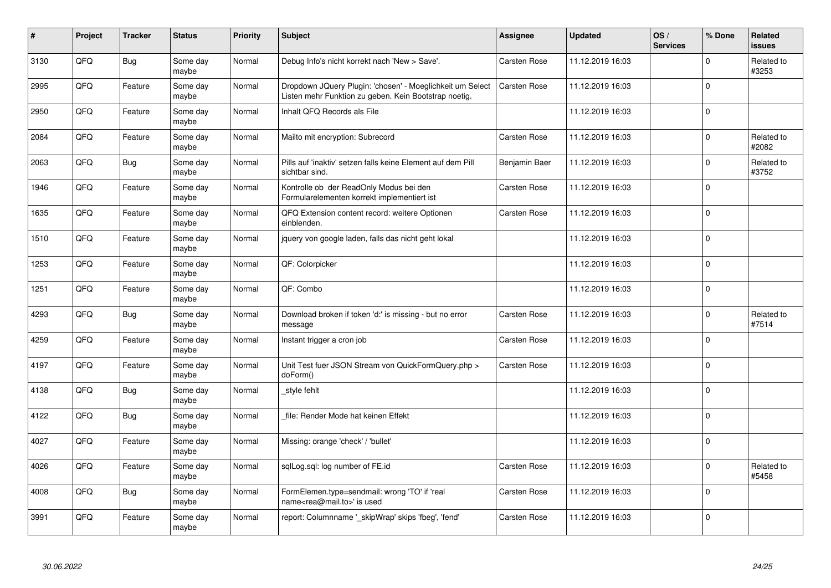| #    | Project | <b>Tracker</b> | <b>Status</b>     | <b>Priority</b> | <b>Subject</b>                                                                                                     | <b>Assignee</b>     | <b>Updated</b>   | OS/<br><b>Services</b> | % Done         | <b>Related</b><br><b>issues</b> |
|------|---------|----------------|-------------------|-----------------|--------------------------------------------------------------------------------------------------------------------|---------------------|------------------|------------------------|----------------|---------------------------------|
| 3130 | QFQ     | <b>Bug</b>     | Some day<br>maybe | Normal          | Debug Info's nicht korrekt nach 'New > Save'.                                                                      | <b>Carsten Rose</b> | 11.12.2019 16:03 |                        | $\Omega$       | Related to<br>#3253             |
| 2995 | QFQ     | Feature        | Some day<br>maybe | Normal          | Dropdown JQuery Plugin: 'chosen' - Moeglichkeit um Select<br>Listen mehr Funktion zu geben. Kein Bootstrap noetig. | Carsten Rose        | 11.12.2019 16:03 |                        | $\mathbf 0$    |                                 |
| 2950 | QFQ     | Feature        | Some day<br>maybe | Normal          | Inhalt QFQ Records als File                                                                                        |                     | 11.12.2019 16:03 |                        | $\Omega$       |                                 |
| 2084 | QFQ     | Feature        | Some day<br>maybe | Normal          | Mailto mit encryption: Subrecord                                                                                   | Carsten Rose        | 11.12.2019 16:03 |                        | $\Omega$       | Related to<br>#2082             |
| 2063 | QFQ     | <b>Bug</b>     | Some day<br>maybe | Normal          | Pills auf 'inaktiv' setzen falls keine Element auf dem Pill<br>sichtbar sind.                                      | Benjamin Baer       | 11.12.2019 16:03 |                        | $\mathbf 0$    | Related to<br>#3752             |
| 1946 | QFQ     | Feature        | Some day<br>maybe | Normal          | Kontrolle ob der ReadOnly Modus bei den<br>Formularelementen korrekt implementiert ist                             | <b>Carsten Rose</b> | 11.12.2019 16:03 |                        | $\Omega$       |                                 |
| 1635 | QFQ     | Feature        | Some day<br>maybe | Normal          | QFQ Extension content record: weitere Optionen<br>einblenden.                                                      | Carsten Rose        | 11.12.2019 16:03 |                        | $\mathbf 0$    |                                 |
| 1510 | QFQ     | Feature        | Some day<br>maybe | Normal          | jquery von google laden, falls das nicht geht lokal                                                                |                     | 11.12.2019 16:03 |                        | $\mathbf 0$    |                                 |
| 1253 | QFQ     | Feature        | Some day<br>maybe | Normal          | QF: Colorpicker                                                                                                    |                     | 11.12.2019 16:03 |                        | $\Omega$       |                                 |
| 1251 | QFQ     | Feature        | Some day<br>maybe | Normal          | QF: Combo                                                                                                          |                     | 11.12.2019 16:03 |                        | $\mathbf 0$    |                                 |
| 4293 | QFQ     | <b>Bug</b>     | Some day<br>maybe | Normal          | Download broken if token 'd:' is missing - but no error<br>message                                                 | Carsten Rose        | 11.12.2019 16:03 |                        | $\mathbf 0$    | Related to<br>#7514             |
| 4259 | QFQ     | Feature        | Some day<br>maybe | Normal          | Instant trigger a cron job                                                                                         | Carsten Rose        | 11.12.2019 16:03 |                        | $\Omega$       |                                 |
| 4197 | QFQ     | Feature        | Some day<br>maybe | Normal          | Unit Test fuer JSON Stream von QuickFormQuery.php ><br>doForm()                                                    | Carsten Rose        | 11.12.2019 16:03 |                        | $\overline{0}$ |                                 |
| 4138 | QFQ     | Bug            | Some day<br>maybe | Normal          | style fehlt                                                                                                        |                     | 11.12.2019 16:03 |                        | $\mathbf 0$    |                                 |
| 4122 | QFQ     | <b>Bug</b>     | Some day<br>maybe | Normal          | file: Render Mode hat keinen Effekt                                                                                |                     | 11.12.2019 16:03 |                        | $\Omega$       |                                 |
| 4027 | QFQ     | Feature        | Some day<br>maybe | Normal          | Missing: orange 'check' / 'bullet'                                                                                 |                     | 11.12.2019 16:03 |                        | $\mathbf 0$    |                                 |
| 4026 | QFQ     | Feature        | Some day<br>maybe | Normal          | sqlLog.sql: log number of FE.id                                                                                    | Carsten Rose        | 11.12.2019 16:03 |                        | $\mathbf 0$    | Related to<br>#5458             |
| 4008 | QFO     | <b>Bug</b>     | Some day<br>maybe | Normal          | FormElemen.type=sendmail: wrong 'TO' if 'real<br>name <rea@mail.to>' is used</rea@mail.to>                         | Carsten Rose        | 11.12.2019 16:03 |                        | $\Omega$       |                                 |
| 3991 | QFQ     | Feature        | Some day<br>maybe | Normal          | report: Columnname ' skipWrap' skips 'fbeg', 'fend'                                                                | Carsten Rose        | 11.12.2019 16:03 |                        | $\Omega$       |                                 |